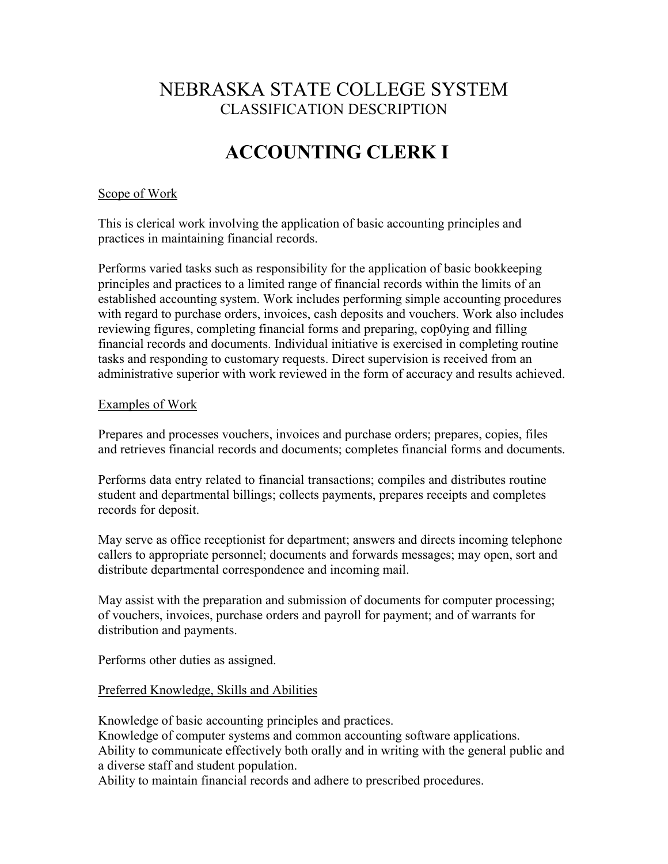# **ACCOUNTING CLERK I**

#### Scope of Work

This is clerical work involving the application of basic accounting principles and practices in maintaining financial records.

Performs varied tasks such as responsibility for the application of basic bookkeeping principles and practices to a limited range of financial records within the limits of an established accounting system. Work includes performing simple accounting procedures with regard to purchase orders, invoices, cash deposits and vouchers. Work also includes reviewing figures, completing financial forms and preparing, cop0ying and filling financial records and documents. Individual initiative is exercised in completing routine tasks and responding to customary requests. Direct supervision is received from an administrative superior with work reviewed in the form of accuracy and results achieved.

#### Examples of Work

Prepares and processes vouchers, invoices and purchase orders; prepares, copies, files and retrieves financial records and documents; completes financial forms and documents.

Performs data entry related to financial transactions; compiles and distributes routine student and departmental billings; collects payments, prepares receipts and completes records for deposit.

May serve as office receptionist for department; answers and directs incoming telephone callers to appropriate personnel; documents and forwards messages; may open, sort and distribute departmental correspondence and incoming mail.

May assist with the preparation and submission of documents for computer processing; of vouchers, invoices, purchase orders and payroll for payment; and of warrants for distribution and payments.

Performs other duties as assigned.

### Preferred Knowledge, Skills and Abilities

Knowledge of basic accounting principles and practices.

Knowledge of computer systems and common accounting software applications.

Ability to communicate effectively both orally and in writing with the general public and a diverse staff and student population.

Ability to maintain financial records and adhere to prescribed procedures.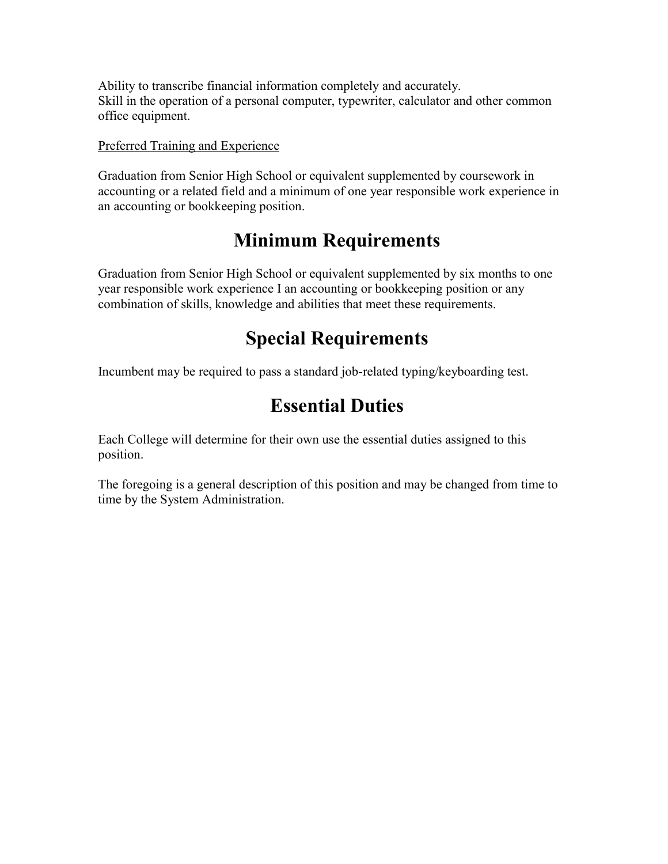Ability to transcribe financial information completely and accurately. Skill in the operation of a personal computer, typewriter, calculator and other common office equipment.

# Preferred Training and Experience

Graduation from Senior High School or equivalent supplemented by coursework in accounting or a related field and a minimum of one year responsible work experience in an accounting or bookkeeping position.

# **Minimum Requirements**

Graduation from Senior High School or equivalent supplemented by six months to one year responsible work experience I an accounting or bookkeeping position or any combination of skills, knowledge and abilities that meet these requirements.

# **Special Requirements**

Incumbent may be required to pass a standard job-related typing/keyboarding test.

# **Essential Duties**

Each College will determine for their own use the essential duties assigned to this position.

The foregoing is a general description of this position and may be changed from time to time by the System Administration.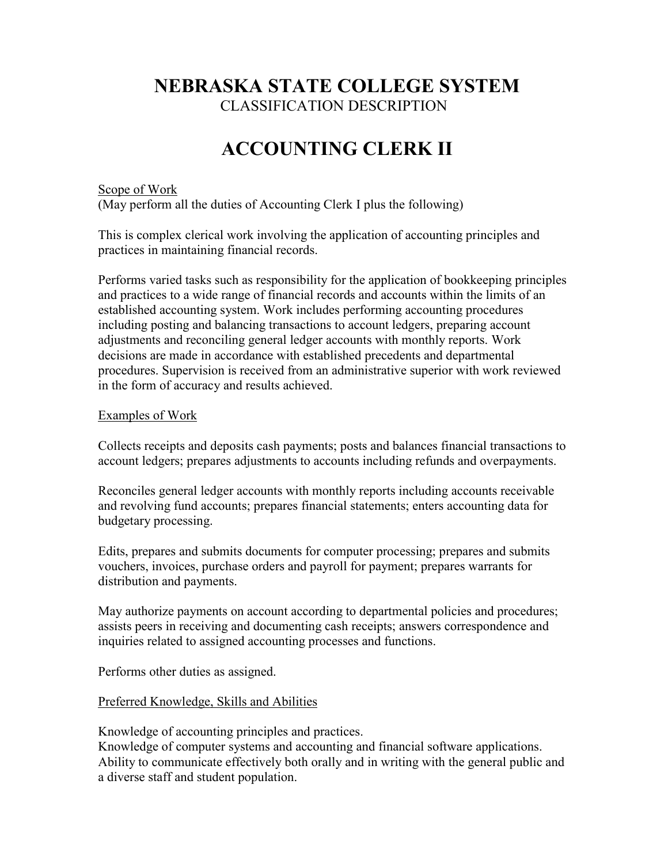# **ACCOUNTING CLERK II**

#### Scope of Work

(May perform all the duties of Accounting Clerk I plus the following)

This is complex clerical work involving the application of accounting principles and practices in maintaining financial records.

Performs varied tasks such as responsibility for the application of bookkeeping principles and practices to a wide range of financial records and accounts within the limits of an established accounting system. Work includes performing accounting procedures including posting and balancing transactions to account ledgers, preparing account adjustments and reconciling general ledger accounts with monthly reports. Work decisions are made in accordance with established precedents and departmental procedures. Supervision is received from an administrative superior with work reviewed in the form of accuracy and results achieved.

### Examples of Work

Collects receipts and deposits cash payments; posts and balances financial transactions to account ledgers; prepares adjustments to accounts including refunds and overpayments.

Reconciles general ledger accounts with monthly reports including accounts receivable and revolving fund accounts; prepares financial statements; enters accounting data for budgetary processing.

Edits, prepares and submits documents for computer processing; prepares and submits vouchers, invoices, purchase orders and payroll for payment; prepares warrants for distribution and payments.

May authorize payments on account according to departmental policies and procedures; assists peers in receiving and documenting cash receipts; answers correspondence and inquiries related to assigned accounting processes and functions.

Performs other duties as assigned.

## Preferred Knowledge, Skills and Abilities

Knowledge of accounting principles and practices.

Knowledge of computer systems and accounting and financial software applications. Ability to communicate effectively both orally and in writing with the general public and a diverse staff and student population.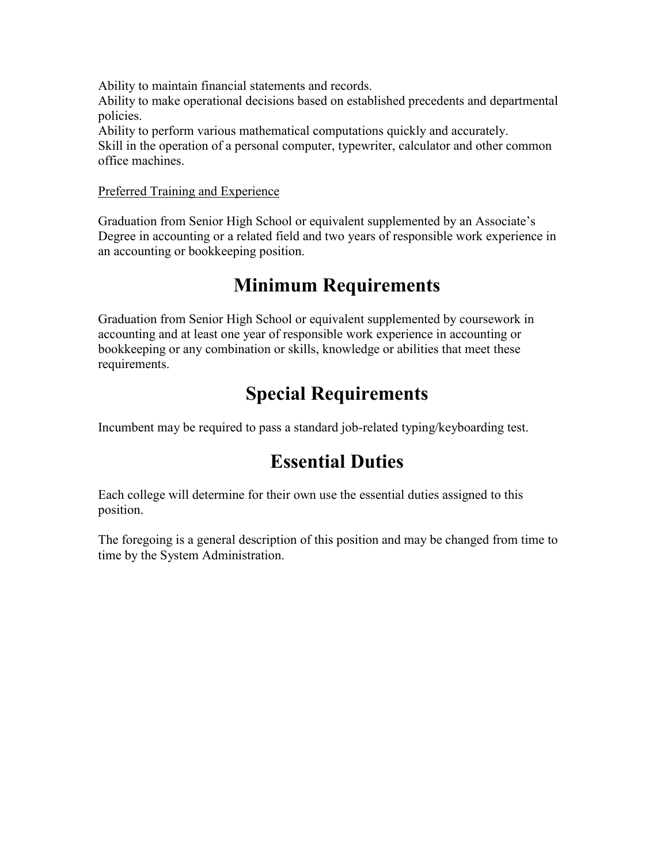Ability to maintain financial statements and records.

Ability to make operational decisions based on established precedents and departmental policies.

Ability to perform various mathematical computations quickly and accurately. Skill in the operation of a personal computer, typewriter, calculator and other common office machines.

# Preferred Training and Experience

Graduation from Senior High School or equivalent supplemented by an Associate's Degree in accounting or a related field and two years of responsible work experience in an accounting or bookkeeping position.

# **Minimum Requirements**

Graduation from Senior High School or equivalent supplemented by coursework in accounting and at least one year of responsible work experience in accounting or bookkeeping or any combination or skills, knowledge or abilities that meet these requirements.

# **Special Requirements**

Incumbent may be required to pass a standard job-related typing/keyboarding test.

# **Essential Duties**

Each college will determine for their own use the essential duties assigned to this position.

The foregoing is a general description of this position and may be changed from time to time by the System Administration.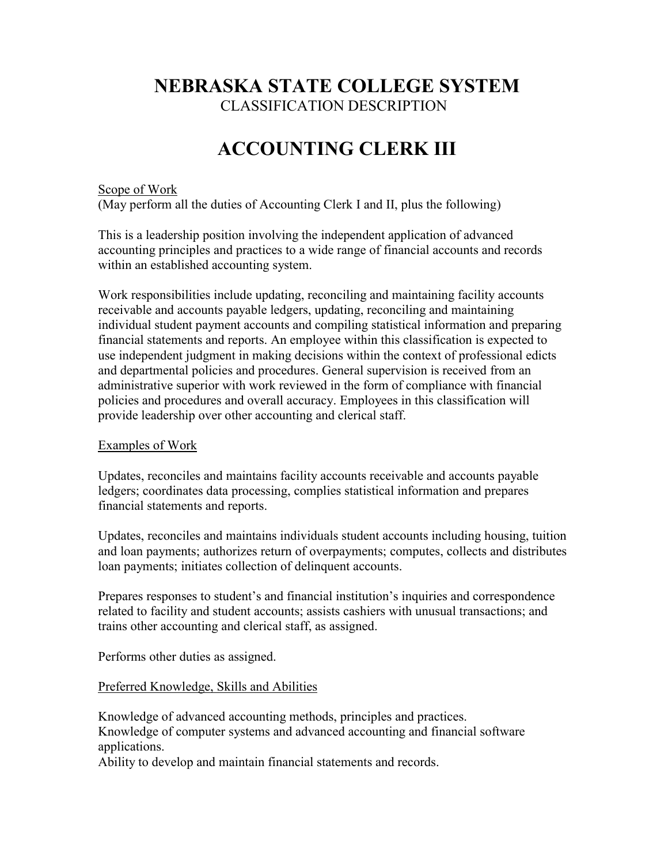# **ACCOUNTING CLERK III**

### Scope of Work

(May perform all the duties of Accounting Clerk I and II, plus the following)

This is a leadership position involving the independent application of advanced accounting principles and practices to a wide range of financial accounts and records within an established accounting system.

Work responsibilities include updating, reconciling and maintaining facility accounts receivable and accounts payable ledgers, updating, reconciling and maintaining individual student payment accounts and compiling statistical information and preparing financial statements and reports. An employee within this classification is expected to use independent judgment in making decisions within the context of professional edicts and departmental policies and procedures. General supervision is received from an administrative superior with work reviewed in the form of compliance with financial policies and procedures and overall accuracy. Employees in this classification will provide leadership over other accounting and clerical staff.

### Examples of Work

Updates, reconciles and maintains facility accounts receivable and accounts payable ledgers; coordinates data processing, complies statistical information and prepares financial statements and reports.

Updates, reconciles and maintains individuals student accounts including housing, tuition and loan payments; authorizes return of overpayments; computes, collects and distributes loan payments; initiates collection of delinquent accounts.

Prepares responses to student's and financial institution's inquiries and correspondence related to facility and student accounts; assists cashiers with unusual transactions; and trains other accounting and clerical staff, as assigned.

Performs other duties as assigned.

#### Preferred Knowledge, Skills and Abilities

Knowledge of advanced accounting methods, principles and practices. Knowledge of computer systems and advanced accounting and financial software applications.

Ability to develop and maintain financial statements and records.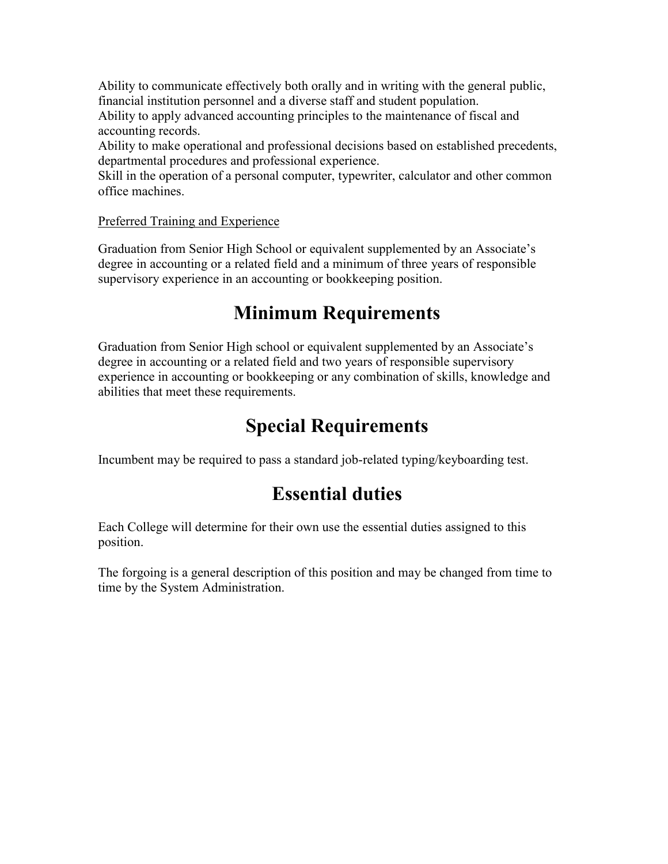Ability to communicate effectively both orally and in writing with the general public, financial institution personnel and a diverse staff and student population.

Ability to apply advanced accounting principles to the maintenance of fiscal and accounting records.

Ability to make operational and professional decisions based on established precedents, departmental procedures and professional experience.

Skill in the operation of a personal computer, typewriter, calculator and other common office machines.

# Preferred Training and Experience

Graduation from Senior High School or equivalent supplemented by an Associate's degree in accounting or a related field and a minimum of three years of responsible supervisory experience in an accounting or bookkeeping position.

# **Minimum Requirements**

Graduation from Senior High school or equivalent supplemented by an Associate's degree in accounting or a related field and two years of responsible supervisory experience in accounting or bookkeeping or any combination of skills, knowledge and abilities that meet these requirements.

# **Special Requirements**

Incumbent may be required to pass a standard job-related typing/keyboarding test.

# **Essential duties**

Each College will determine for their own use the essential duties assigned to this position.

The forgoing is a general description of this position and may be changed from time to time by the System Administration.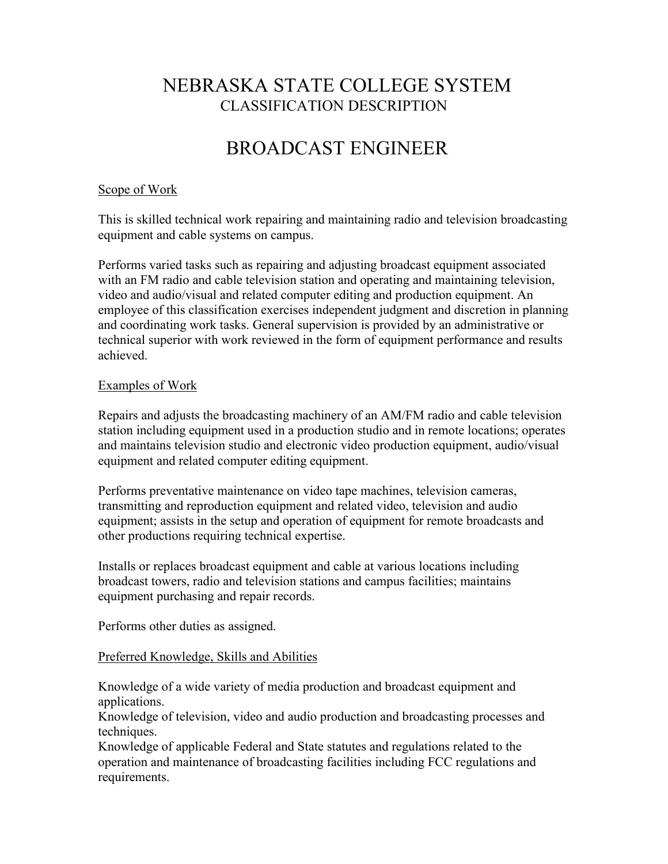# BROADCAST ENGINEER

## Scope of Work

This is skilled technical work repairing and maintaining radio and television broadcasting equipment and cable systems on campus.

Performs varied tasks such as repairing and adjusting broadcast equipment associated with an FM radio and cable television station and operating and maintaining television, video and audio/visual and related computer editing and production equipment. An employee of this classification exercises independent judgment and discretion in planning and coordinating work tasks. General supervision is provided by an administrative or technical superior with work reviewed in the form of equipment performance and results achieved.

### Examples of Work

Repairs and adjusts the broadcasting machinery of an AM/FM radio and cable television station including equipment used in a production studio and in remote locations; operates and maintains television studio and electronic video production equipment, audio/visual equipment and related computer editing equipment.

Performs preventative maintenance on video tape machines, television cameras, transmitting and reproduction equipment and related video, television and audio equipment; assists in the setup and operation of equipment for remote broadcasts and other productions requiring technical expertise.

Installs or replaces broadcast equipment and cable at various locations including broadcast towers, radio and television stations and campus facilities; maintains equipment purchasing and repair records.

Performs other duties as assigned.

### Preferred Knowledge, Skills and Abilities

Knowledge of a wide variety of media production and broadcast equipment and applications.

Knowledge of television, video and audio production and broadcasting processes and techniques.

Knowledge of applicable Federal and State statutes and regulations related to the operation and maintenance of broadcasting facilities including FCC regulations and requirements.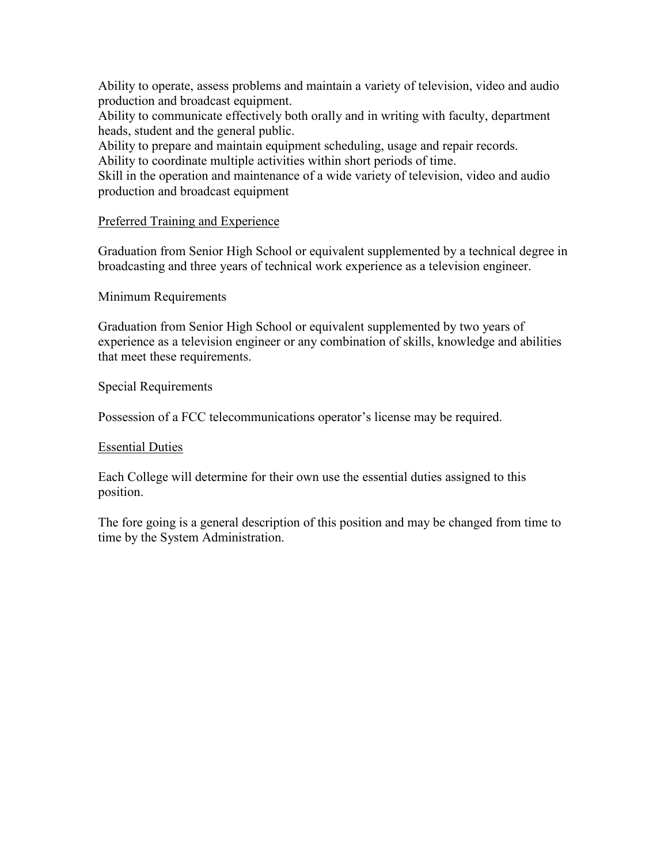Ability to operate, assess problems and maintain a variety of television, video and audio production and broadcast equipment.

Ability to communicate effectively both orally and in writing with faculty, department heads, student and the general public.

Ability to prepare and maintain equipment scheduling, usage and repair records.

Ability to coordinate multiple activities within short periods of time.

Skill in the operation and maintenance of a wide variety of television, video and audio production and broadcast equipment

## Preferred Training and Experience

Graduation from Senior High School or equivalent supplemented by a technical degree in broadcasting and three years of technical work experience as a television engineer.

Minimum Requirements

Graduation from Senior High School or equivalent supplemented by two years of experience as a television engineer or any combination of skills, knowledge and abilities that meet these requirements.

Special Requirements

Possession of a FCC telecommunications operator's license may be required.

### Essential Duties

Each College will determine for their own use the essential duties assigned to this position.

The fore going is a general description of this position and may be changed from time to time by the System Administration.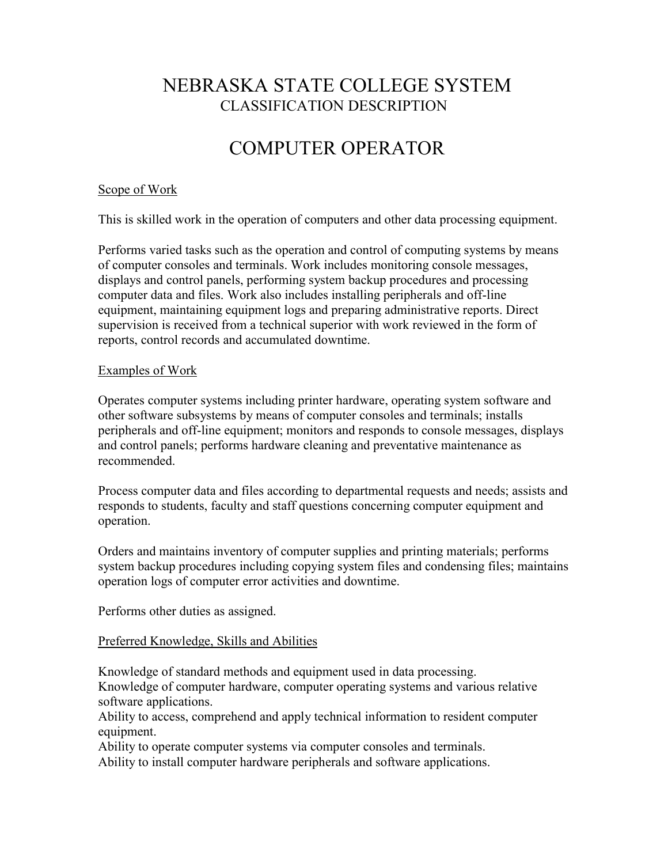# COMPUTER OPERATOR

## Scope of Work

This is skilled work in the operation of computers and other data processing equipment.

Performs varied tasks such as the operation and control of computing systems by means of computer consoles and terminals. Work includes monitoring console messages, displays and control panels, performing system backup procedures and processing computer data and files. Work also includes installing peripherals and off-line equipment, maintaining equipment logs and preparing administrative reports. Direct supervision is received from a technical superior with work reviewed in the form of reports, control records and accumulated downtime.

### Examples of Work

Operates computer systems including printer hardware, operating system software and other software subsystems by means of computer consoles and terminals; installs peripherals and off-line equipment; monitors and responds to console messages, displays and control panels; performs hardware cleaning and preventative maintenance as recommended.

Process computer data and files according to departmental requests and needs; assists and responds to students, faculty and staff questions concerning computer equipment and operation.

Orders and maintains inventory of computer supplies and printing materials; performs system backup procedures including copying system files and condensing files; maintains operation logs of computer error activities and downtime.

Performs other duties as assigned.

### Preferred Knowledge, Skills and Abilities

Knowledge of standard methods and equipment used in data processing.

Knowledge of computer hardware, computer operating systems and various relative software applications.

Ability to access, comprehend and apply technical information to resident computer equipment.

Ability to operate computer systems via computer consoles and terminals.

Ability to install computer hardware peripherals and software applications.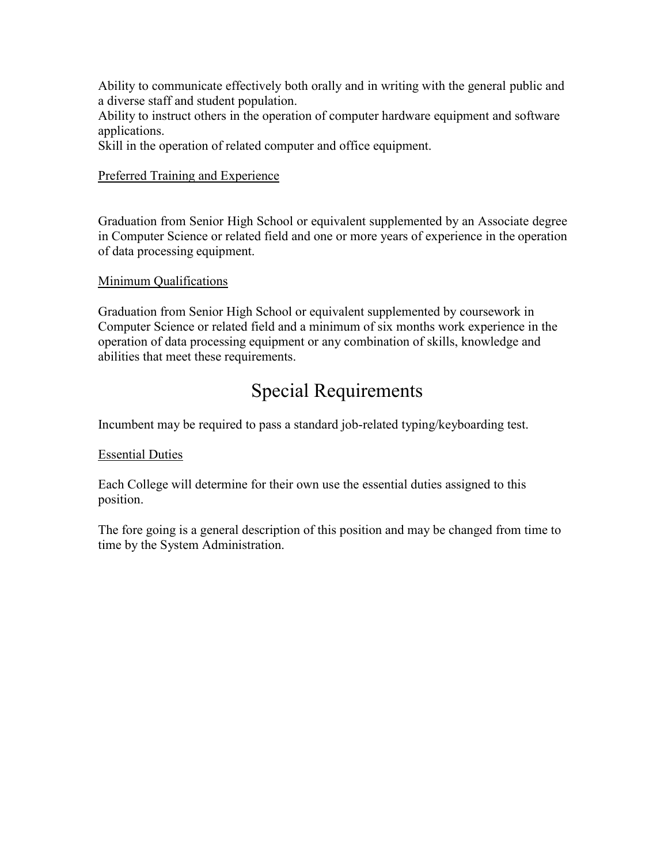Ability to communicate effectively both orally and in writing with the general public and a diverse staff and student population.

Ability to instruct others in the operation of computer hardware equipment and software applications.

Skill in the operation of related computer and office equipment.

## Preferred Training and Experience

Graduation from Senior High School or equivalent supplemented by an Associate degree in Computer Science or related field and one or more years of experience in the operation of data processing equipment.

### Minimum Qualifications

Graduation from Senior High School or equivalent supplemented by coursework in Computer Science or related field and a minimum of six months work experience in the operation of data processing equipment or any combination of skills, knowledge and abilities that meet these requirements.

# Special Requirements

Incumbent may be required to pass a standard job-related typing/keyboarding test.

### Essential Duties

Each College will determine for their own use the essential duties assigned to this position.

The fore going is a general description of this position and may be changed from time to time by the System Administration.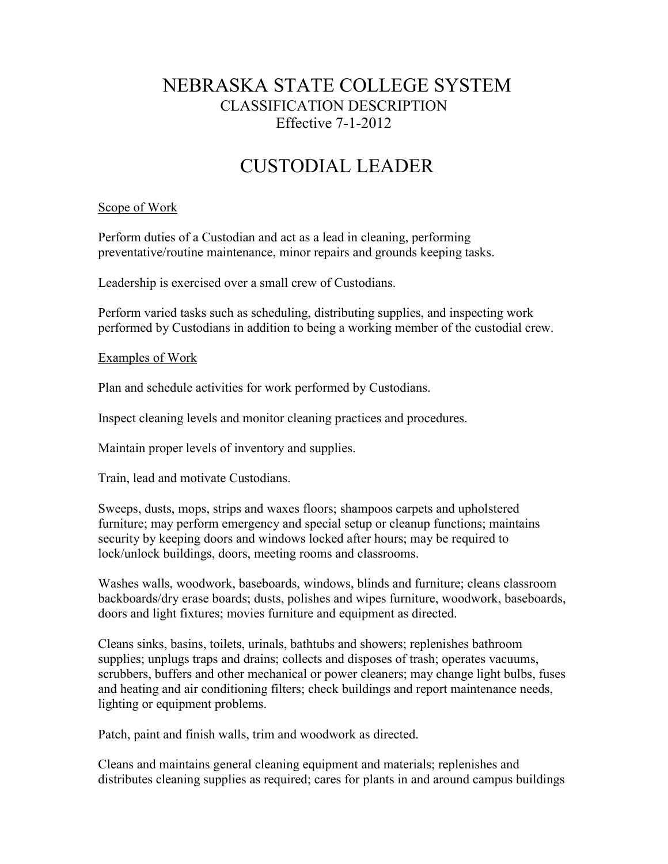# NEBRASKA STATE COLLEGE SYSTEM CLASSIFICATION DESCRIPTION Effective 7-1-2012

# CUSTODIAL LEADER

### Scope of Work

Perform duties of a Custodian and act as a lead in cleaning, performing preventative/routine maintenance, minor repairs and grounds keeping tasks.

Leadership is exercised over a small crew of Custodians.

Perform varied tasks such as scheduling, distributing supplies, and inspecting work performed by Custodians in addition to being a working member of the custodial crew.

#### Examples of Work

Plan and schedule activities for work performed by Custodians.

Inspect cleaning levels and monitor cleaning practices and procedures.

Maintain proper levels of inventory and supplies.

Train, lead and motivate Custodians.

Sweeps, dusts, mops, strips and waxes floors; shampoos carpets and upholstered furniture; may perform emergency and special setup or cleanup functions; maintains security by keeping doors and windows locked after hours; may be required to lock/unlock buildings, doors, meeting rooms and classrooms.

Washes walls, woodwork, baseboards, windows, blinds and furniture; cleans classroom backboards/dry erase boards; dusts, polishes and wipes furniture, woodwork, baseboards, doors and light fixtures; movies furniture and equipment as directed.

Cleans sinks, basins, toilets, urinals, bathtubs and showers; replenishes bathroom supplies; unplugs traps and drains; collects and disposes of trash; operates vacuums, scrubbers, buffers and other mechanical or power cleaners; may change light bulbs, fuses and heating and air conditioning filters; check buildings and report maintenance needs, lighting or equipment problems.

Patch, paint and finish walls, trim and woodwork as directed.

Cleans and maintains general cleaning equipment and materials; replenishes and distributes cleaning supplies as required; cares for plants in and around campus buildings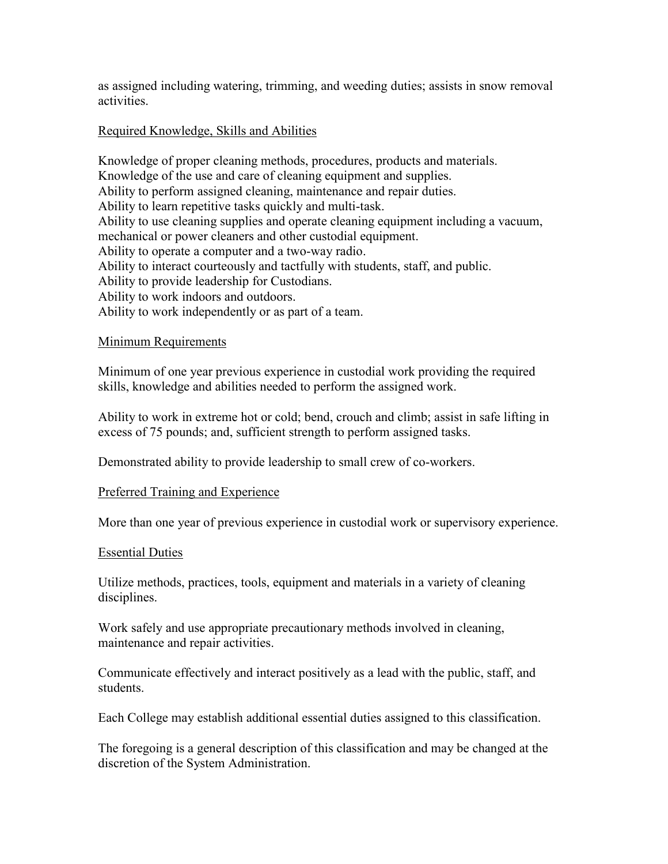as assigned including watering, trimming, and weeding duties; assists in snow removal activities.

# Required Knowledge, Skills and Abilities

Knowledge of proper cleaning methods, procedures, products and materials. Knowledge of the use and care of cleaning equipment and supplies. Ability to perform assigned cleaning, maintenance and repair duties. Ability to learn repetitive tasks quickly and multi-task. Ability to use cleaning supplies and operate cleaning equipment including a vacuum, mechanical or power cleaners and other custodial equipment. Ability to operate a computer and a two-way radio. Ability to interact courteously and tactfully with students, staff, and public. Ability to provide leadership for Custodians. Ability to work indoors and outdoors. Ability to work independently or as part of a team.

## Minimum Requirements

Minimum of one year previous experience in custodial work providing the required skills, knowledge and abilities needed to perform the assigned work.

Ability to work in extreme hot or cold; bend, crouch and climb; assist in safe lifting in excess of 75 pounds; and, sufficient strength to perform assigned tasks.

Demonstrated ability to provide leadership to small crew of co-workers.

### Preferred Training and Experience

More than one year of previous experience in custodial work or supervisory experience.

### Essential Duties

Utilize methods, practices, tools, equipment and materials in a variety of cleaning disciplines.

Work safely and use appropriate precautionary methods involved in cleaning, maintenance and repair activities.

Communicate effectively and interact positively as a lead with the public, staff, and students.

Each College may establish additional essential duties assigned to this classification.

The foregoing is a general description of this classification and may be changed at the discretion of the System Administration.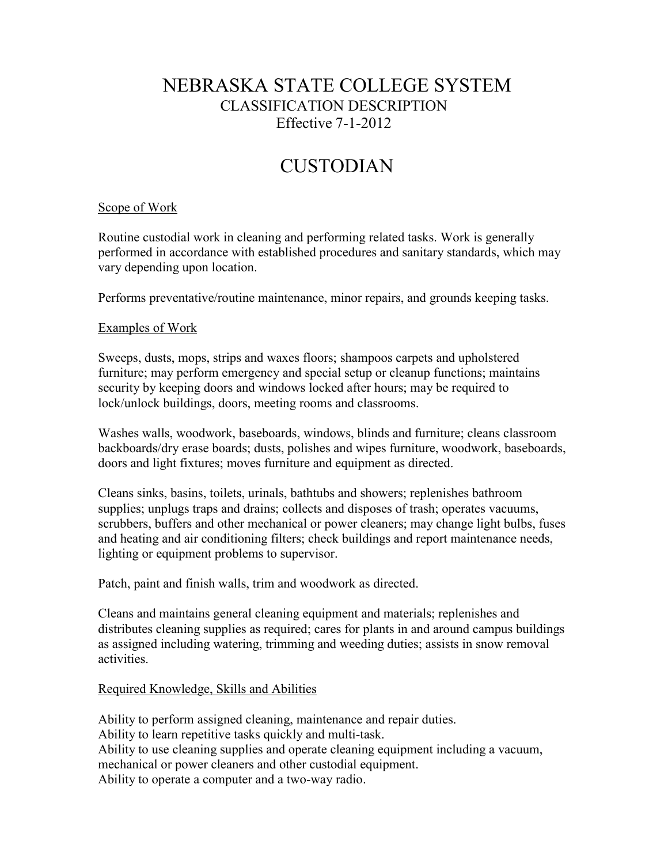# NEBRASKA STATE COLLEGE SYSTEM CLASSIFICATION DESCRIPTION Effective 7-1-2012

# CUSTODIAN

## Scope of Work

Routine custodial work in cleaning and performing related tasks. Work is generally performed in accordance with established procedures and sanitary standards, which may vary depending upon location.

Performs preventative/routine maintenance, minor repairs, and grounds keeping tasks.

### Examples of Work

Sweeps, dusts, mops, strips and waxes floors; shampoos carpets and upholstered furniture; may perform emergency and special setup or cleanup functions; maintains security by keeping doors and windows locked after hours; may be required to lock/unlock buildings, doors, meeting rooms and classrooms.

Washes walls, woodwork, baseboards, windows, blinds and furniture; cleans classroom backboards/dry erase boards; dusts, polishes and wipes furniture, woodwork, baseboards, doors and light fixtures; moves furniture and equipment as directed.

Cleans sinks, basins, toilets, urinals, bathtubs and showers; replenishes bathroom supplies; unplugs traps and drains; collects and disposes of trash; operates vacuums, scrubbers, buffers and other mechanical or power cleaners; may change light bulbs, fuses and heating and air conditioning filters; check buildings and report maintenance needs, lighting or equipment problems to supervisor.

Patch, paint and finish walls, trim and woodwork as directed.

Cleans and maintains general cleaning equipment and materials; replenishes and distributes cleaning supplies as required; cares for plants in and around campus buildings as assigned including watering, trimming and weeding duties; assists in snow removal activities.

### Required Knowledge, Skills and Abilities

Ability to perform assigned cleaning, maintenance and repair duties. Ability to learn repetitive tasks quickly and multi-task. Ability to use cleaning supplies and operate cleaning equipment including a vacuum, mechanical or power cleaners and other custodial equipment. Ability to operate a computer and a two-way radio.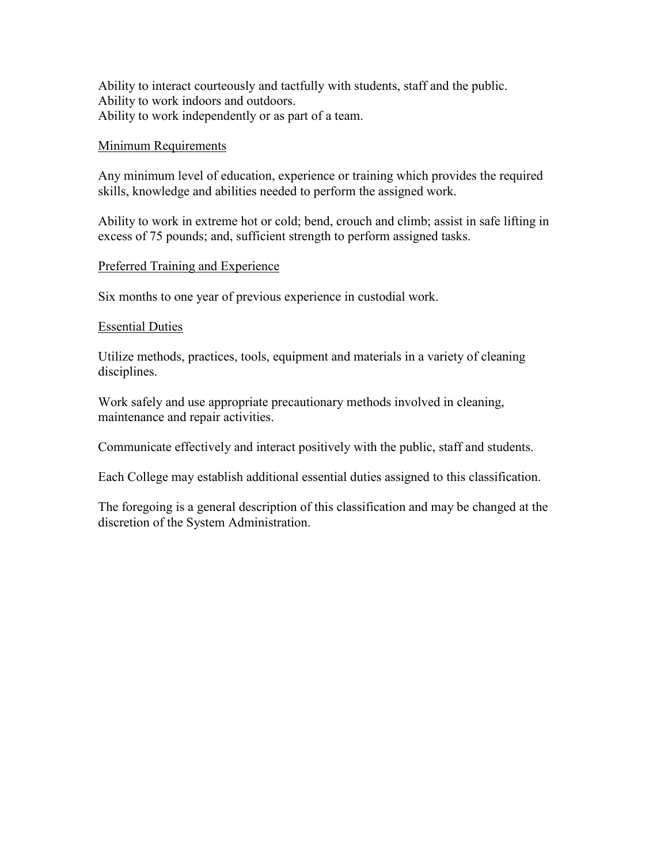Ability to interact courteously and tactfully with students, staff and the public. Ability to work indoors and outdoors. Ability to work independently or as part of a team.

### **Minimum Requirements**

Any minimum level of education, experience or training which provides the required skills, knowledge and abilities needed to perform the assigned work.

Ability to work in extreme hot or cold; bend, crouch and climb; assist in safe lifting in excess of 75 pounds; and, sufficient strength to perform assigned tasks.

# Preferred Training and Experience

Six months to one year of previous experience in custodial work.

### Essential Duties

Utilize methods, practices, tools, equipment and materials in a variety of cleaning disciplines.

Work safely and use appropriate precautionary methods involved in cleaning, maintenance and repair activities.

Communicate effectively and interact positively with the public, staff and students.

Each College may establish additional essential duties assigned to this classification.

The foregoing is a general description of this classification and may be changed at the discretion of the System Administration.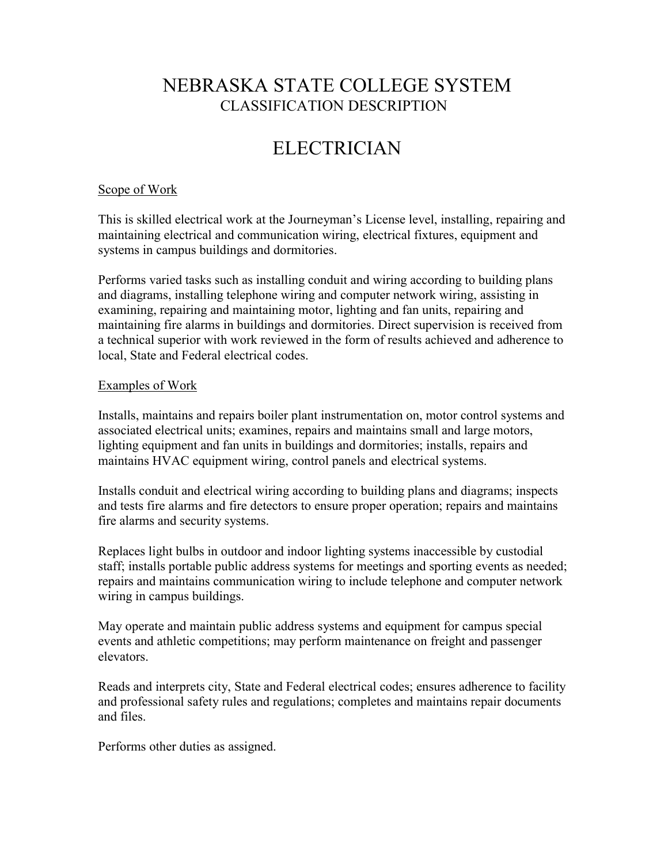# **ELECTRICIAN**

### Scope of Work

This is skilled electrical work at the Journeyman's License level, installing, repairing and maintaining electrical and communication wiring, electrical fixtures, equipment and systems in campus buildings and dormitories.

Performs varied tasks such as installing conduit and wiring according to building plans and diagrams, installing telephone wiring and computer network wiring, assisting in examining, repairing and maintaining motor, lighting and fan units, repairing and maintaining fire alarms in buildings and dormitories. Direct supervision is received from a technical superior with work reviewed in the form of results achieved and adherence to local, State and Federal electrical codes.

### Examples of Work

Installs, maintains and repairs boiler plant instrumentation on, motor control systems and associated electrical units; examines, repairs and maintains small and large motors, lighting equipment and fan units in buildings and dormitories; installs, repairs and maintains HVAC equipment wiring, control panels and electrical systems.

Installs conduit and electrical wiring according to building plans and diagrams; inspects and tests fire alarms and fire detectors to ensure proper operation; repairs and maintains fire alarms and security systems.

Replaces light bulbs in outdoor and indoor lighting systems inaccessible by custodial staff; installs portable public address systems for meetings and sporting events as needed; repairs and maintains communication wiring to include telephone and computer network wiring in campus buildings.

May operate and maintain public address systems and equipment for campus special events and athletic competitions; may perform maintenance on freight and passenger elevators.

Reads and interprets city, State and Federal electrical codes; ensures adherence to facility and professional safety rules and regulations; completes and maintains repair documents and files.

Performs other duties as assigned.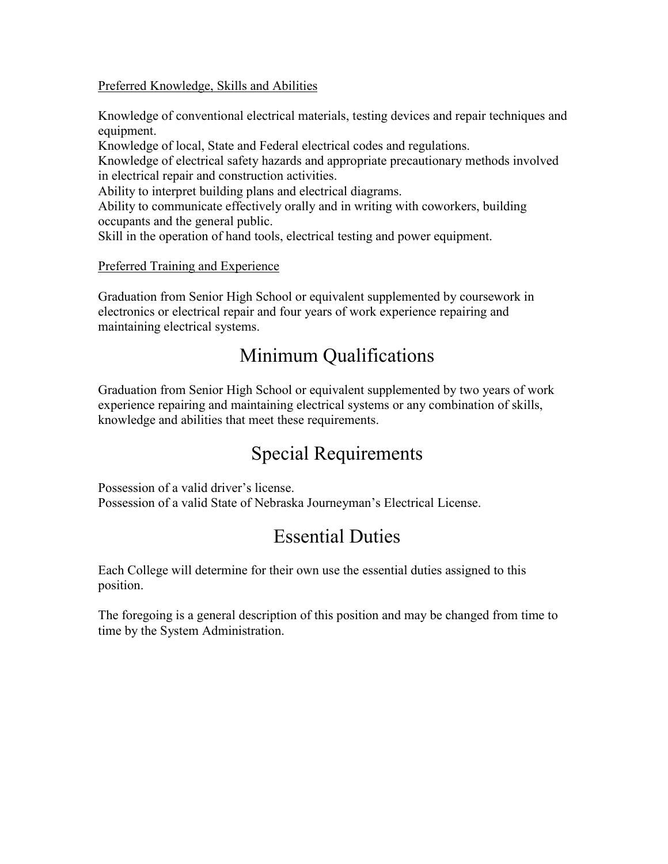## Preferred Knowledge, Skills and Abilities

Knowledge of conventional electrical materials, testing devices and repair techniques and equipment.

Knowledge of local, State and Federal electrical codes and regulations.

Knowledge of electrical safety hazards and appropriate precautionary methods involved in electrical repair and construction activities.

Ability to interpret building plans and electrical diagrams.

Ability to communicate effectively orally and in writing with coworkers, building occupants and the general public.

Skill in the operation of hand tools, electrical testing and power equipment.

# Preferred Training and Experience

Graduation from Senior High School or equivalent supplemented by coursework in electronics or electrical repair and four years of work experience repairing and maintaining electrical systems.

# Minimum Qualifications

Graduation from Senior High School or equivalent supplemented by two years of work experience repairing and maintaining electrical systems or any combination of skills, knowledge and abilities that meet these requirements.

# Special Requirements

Possession of a valid driver's license. Possession of a valid State of Nebraska Journeyman's Electrical License.

# Essential Duties

Each College will determine for their own use the essential duties assigned to this position.

The foregoing is a general description of this position and may be changed from time to time by the System Administration.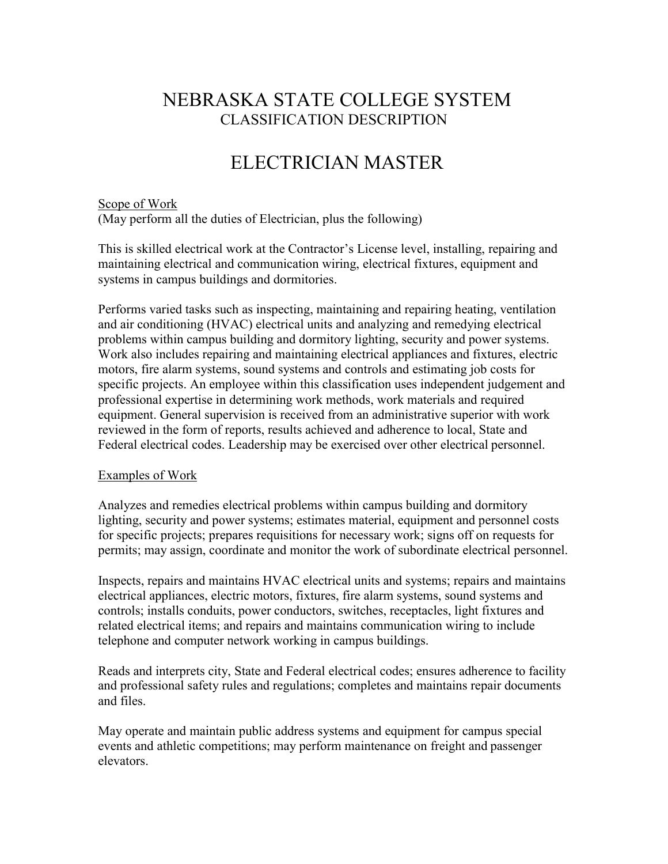# ELECTRICIAN MASTER

## Scope of Work

(May perform all the duties of Electrician, plus the following)

This is skilled electrical work at the Contractor's License level, installing, repairing and maintaining electrical and communication wiring, electrical fixtures, equipment and systems in campus buildings and dormitories.

Performs varied tasks such as inspecting, maintaining and repairing heating, ventilation and air conditioning (HVAC) electrical units and analyzing and remedying electrical problems within campus building and dormitory lighting, security and power systems. Work also includes repairing and maintaining electrical appliances and fixtures, electric motors, fire alarm systems, sound systems and controls and estimating job costs for specific projects. An employee within this classification uses independent judgement and professional expertise in determining work methods, work materials and required equipment. General supervision is received from an administrative superior with work reviewed in the form of reports, results achieved and adherence to local, State and Federal electrical codes. Leadership may be exercised over other electrical personnel.

### Examples of Work

Analyzes and remedies electrical problems within campus building and dormitory lighting, security and power systems; estimates material, equipment and personnel costs for specific projects; prepares requisitions for necessary work; signs off on requests for permits; may assign, coordinate and monitor the work of subordinate electrical personnel.

Inspects, repairs and maintains HVAC electrical units and systems; repairs and maintains electrical appliances, electric motors, fixtures, fire alarm systems, sound systems and controls; installs conduits, power conductors, switches, receptacles, light fixtures and related electrical items; and repairs and maintains communication wiring to include telephone and computer network working in campus buildings.

Reads and interprets city, State and Federal electrical codes; ensures adherence to facility and professional safety rules and regulations; completes and maintains repair documents and files.

May operate and maintain public address systems and equipment for campus special events and athletic competitions; may perform maintenance on freight and passenger elevators.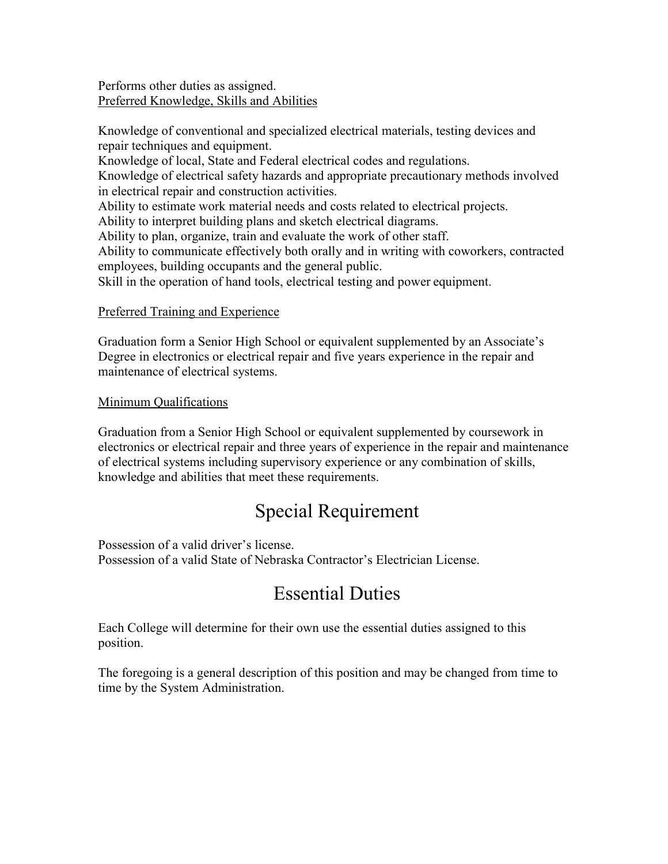Performs other duties as assigned. Preferred Knowledge, Skills and Abilities

Knowledge of conventional and specialized electrical materials, testing devices and repair techniques and equipment. Knowledge of local, State and Federal electrical codes and regulations. Knowledge of electrical safety hazards and appropriate precautionary methods involved in electrical repair and construction activities. Ability to estimate work material needs and costs related to electrical projects. Ability to interpret building plans and sketch electrical diagrams. Ability to plan, organize, train and evaluate the work of other staff. Ability to communicate effectively both orally and in writing with coworkers, contracted employees, building occupants and the general public. Skill in the operation of hand tools, electrical testing and power equipment.

# Preferred Training and Experience

Graduation form a Senior High School or equivalent supplemented by an Associate's Degree in electronics or electrical repair and five years experience in the repair and maintenance of electrical systems.

# Minimum Qualifications

Graduation from a Senior High School or equivalent supplemented by coursework in electronics or electrical repair and three years of experience in the repair and maintenance of electrical systems including supervisory experience or any combination of skills, knowledge and abilities that meet these requirements.

# Special Requirement

Possession of a valid driver's license. Possession of a valid State of Nebraska Contractor's Electrician License.

# Essential Duties

Each College will determine for their own use the essential duties assigned to this position.

The foregoing is a general description of this position and may be changed from time to time by the System Administration.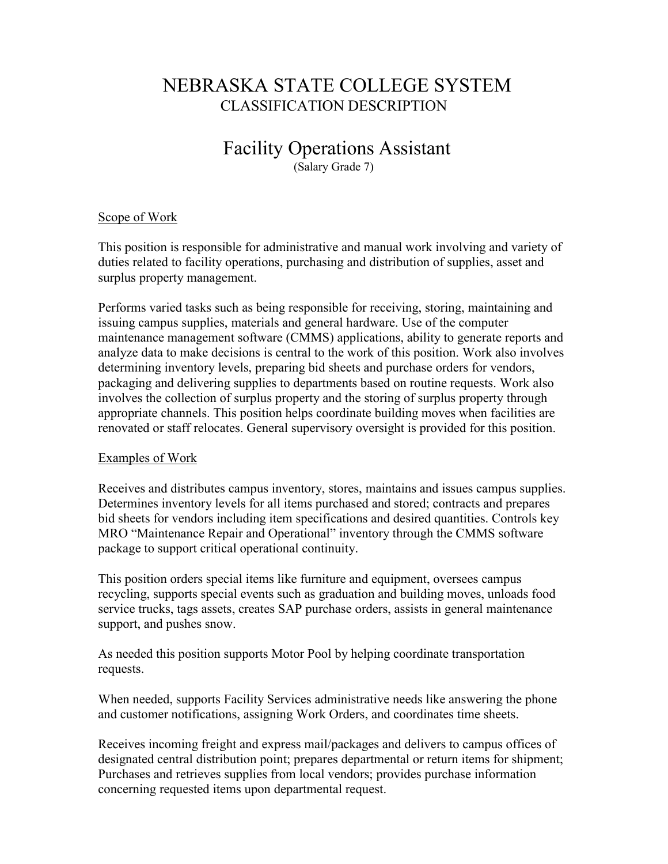# Facility Operations Assistant (Salary Grade 7)

### Scope of Work

This position is responsible for administrative and manual work involving and variety of duties related to facility operations, purchasing and distribution of supplies, asset and surplus property management.

Performs varied tasks such as being responsible for receiving, storing, maintaining and issuing campus supplies, materials and general hardware. Use of the computer maintenance management software (CMMS) applications, ability to generate reports and analyze data to make decisions is central to the work of this position. Work also involves determining inventory levels, preparing bid sheets and purchase orders for vendors, packaging and delivering supplies to departments based on routine requests. Work also involves the collection of surplus property and the storing of surplus property through appropriate channels. This position helps coordinate building moves when facilities are renovated or staff relocates. General supervisory oversight is provided for this position.

#### Examples of Work

Receives and distributes campus inventory, stores, maintains and issues campus supplies. Determines inventory levels for all items purchased and stored; contracts and prepares bid sheets for vendors including item specifications and desired quantities. Controls key MRO "Maintenance Repair and Operational" inventory through the CMMS software package to support critical operational continuity.

This position orders special items like furniture and equipment, oversees campus recycling, supports special events such as graduation and building moves, unloads food service trucks, tags assets, creates SAP purchase orders, assists in general maintenance support, and pushes snow.

As needed this position supports Motor Pool by helping coordinate transportation requests.

When needed, supports Facility Services administrative needs like answering the phone and customer notifications, assigning Work Orders, and coordinates time sheets.

Receives incoming freight and express mail/packages and delivers to campus offices of designated central distribution point; prepares departmental or return items for shipment; Purchases and retrieves supplies from local vendors; provides purchase information concerning requested items upon departmental request.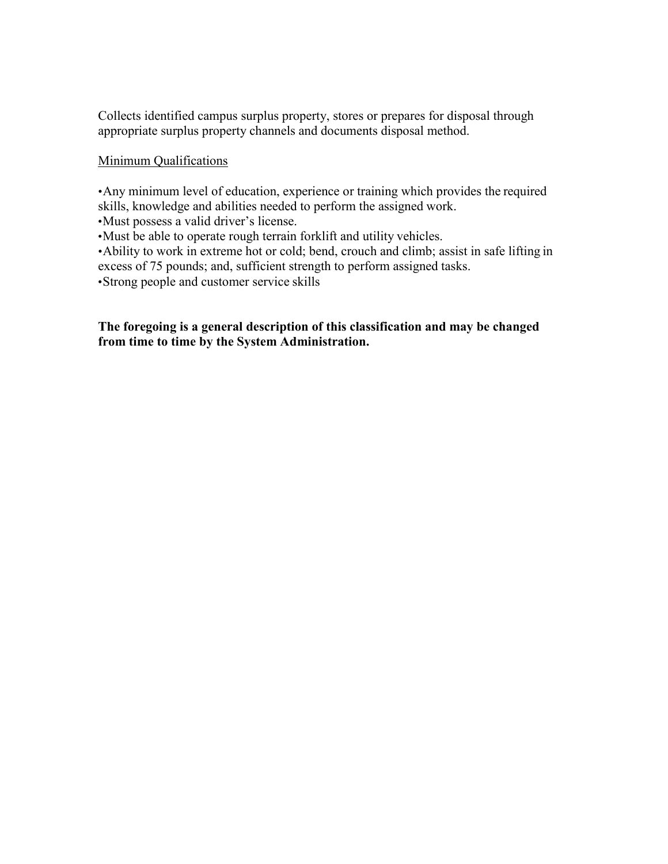Collects identified campus surplus property, stores or prepares for disposal through appropriate surplus property channels and documents disposal method.

### Minimum Qualifications

•Any minimum level of education, experience or training which provides the required skills, knowledge and abilities needed to perform the assigned work.

•Must possess a valid driver's license.

•Must be able to operate rough terrain forklift and utility vehicles.

•Ability to work in extreme hot or cold; bend, crouch and climb; assist in safe lifting in excess of 75 pounds; and, sufficient strength to perform assigned tasks.

•Strong people and customer service skills

## **The foregoing is a general description of this classification and may be changed from time to time by the System Administration.**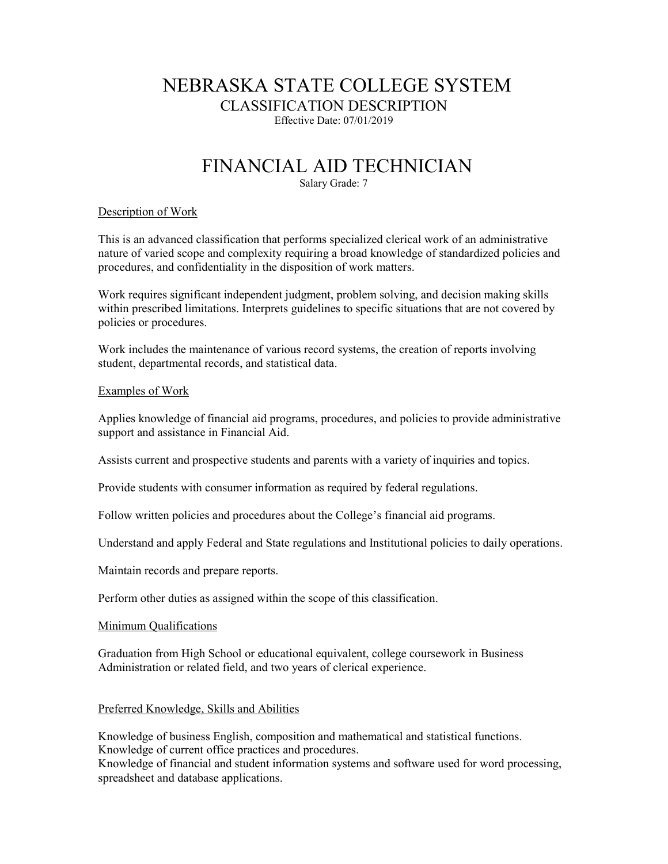NEBRASKA STATE COLLEGE SYSTEM

CLASSIFICATION DESCRIPTION

Effective Date: 07/01/2019

# FINANCIAL AID TECHNICIAN

Salary Grade: 7

#### Description of Work

This is an advanced classification that performs specialized clerical work of an administrative nature of varied scope and complexity requiring a broad knowledge of standardized policies and procedures, and confidentiality in the disposition of work matters.

Work requires significant independent judgment, problem solving, and decision making skills within prescribed limitations. Interprets guidelines to specific situations that are not covered by policies or procedures.

Work includes the maintenance of various record systems, the creation of reports involving student, departmental records, and statistical data.

#### Examples of Work

Applies knowledge of financial aid programs, procedures, and policies to provide administrative support and assistance in Financial Aid.

Assists current and prospective students and parents with a variety of inquiries and topics.

Provide students with consumer information as required by federal regulations.

Follow written policies and procedures about the College's financial aid programs.

Understand and apply Federal and State regulations and Institutional policies to daily operations.

Maintain records and prepare reports.

Perform other duties as assigned within the scope of this classification.

#### Minimum Qualifications

Graduation from High School or educational equivalent, college coursework in Business Administration or related field, and two years of clerical experience.

#### Preferred Knowledge, Skills and Abilities

Knowledge of business English, composition and mathematical and statistical functions. Knowledge of current office practices and procedures.

Knowledge of financial and student information systems and software used for word processing, spreadsheet and database applications.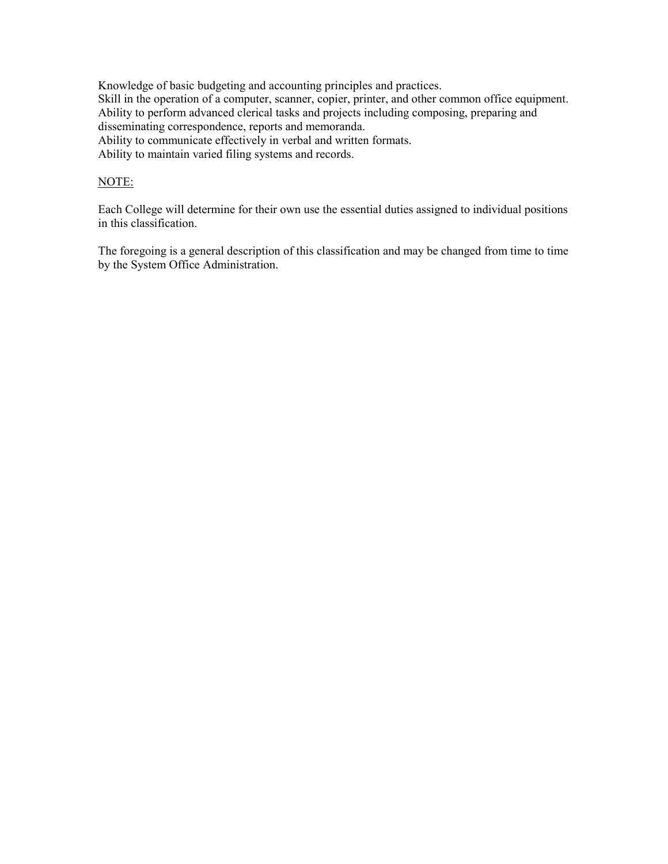Knowledge of basic budgeting and accounting principles and practices. Skill in the operation of a computer, scanner, copier, printer, and other common office equipment. Ability to perform advanced clerical tasks and projects including composing, preparing and disseminating correspondence, reports and memoranda. Ability to communicate effectively in verbal and written formats. Ability to maintain varied filing systems and records.

#### NOTE:

Each College will determine for their own use the essential duties assigned to individual positions in this classification.

The foregoing is a general description of this classification and may be changed from time to time by the System Office Administration.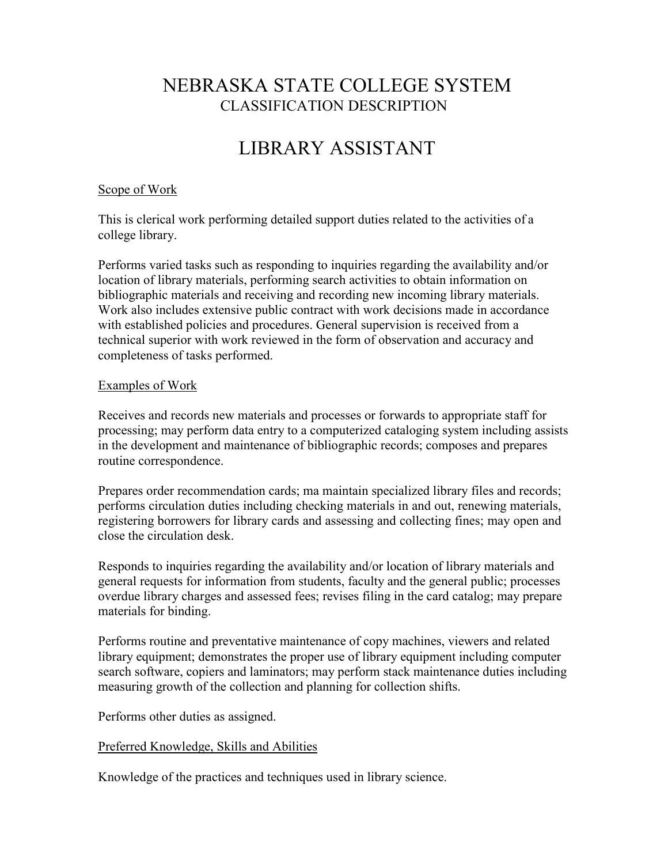# LIBRARY ASSISTANT

## Scope of Work

This is clerical work performing detailed support duties related to the activities of a college library.

Performs varied tasks such as responding to inquiries regarding the availability and/or location of library materials, performing search activities to obtain information on bibliographic materials and receiving and recording new incoming library materials. Work also includes extensive public contract with work decisions made in accordance with established policies and procedures. General supervision is received from a technical superior with work reviewed in the form of observation and accuracy and completeness of tasks performed.

### Examples of Work

Receives and records new materials and processes or forwards to appropriate staff for processing; may perform data entry to a computerized cataloging system including assists in the development and maintenance of bibliographic records; composes and prepares routine correspondence.

Prepares order recommendation cards; ma maintain specialized library files and records; performs circulation duties including checking materials in and out, renewing materials, registering borrowers for library cards and assessing and collecting fines; may open and close the circulation desk.

Responds to inquiries regarding the availability and/or location of library materials and general requests for information from students, faculty and the general public; processes overdue library charges and assessed fees; revises filing in the card catalog; may prepare materials for binding.

Performs routine and preventative maintenance of copy machines, viewers and related library equipment; demonstrates the proper use of library equipment including computer search software, copiers and laminators; may perform stack maintenance duties including measuring growth of the collection and planning for collection shifts.

Performs other duties as assigned.

### Preferred Knowledge, Skills and Abilities

Knowledge of the practices and techniques used in library science.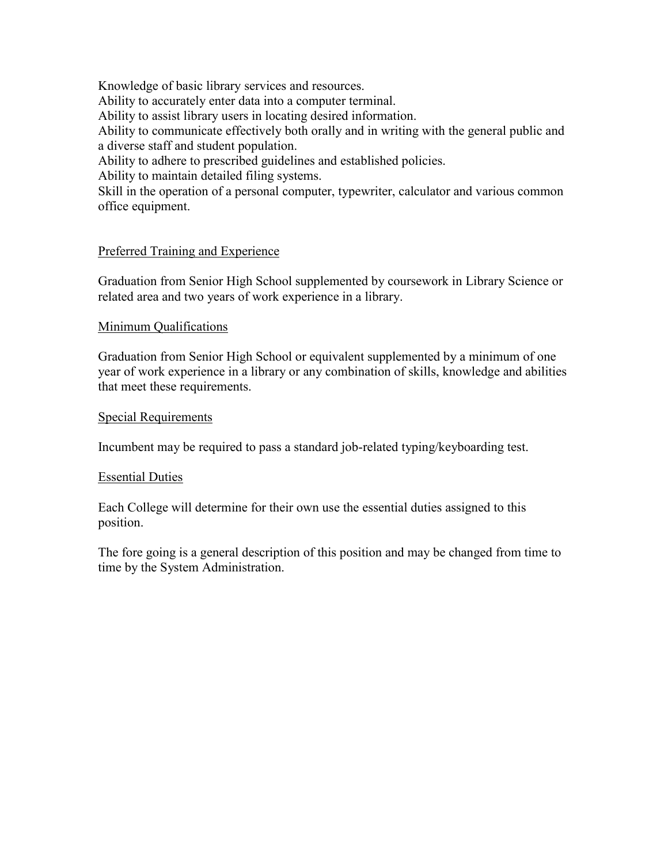Knowledge of basic library services and resources. Ability to accurately enter data into a computer terminal. Ability to assist library users in locating desired information. Ability to communicate effectively both orally and in writing with the general public and a diverse staff and student population. Ability to adhere to prescribed guidelines and established policies. Ability to maintain detailed filing systems. Skill in the operation of a personal computer, typewriter, calculator and various common office equipment.

# Preferred Training and Experience

Graduation from Senior High School supplemented by coursework in Library Science or related area and two years of work experience in a library.

### Minimum Qualifications

Graduation from Senior High School or equivalent supplemented by a minimum of one year of work experience in a library or any combination of skills, knowledge and abilities that meet these requirements.

### Special Requirements

Incumbent may be required to pass a standard job-related typing/keyboarding test.

#### Essential Duties

Each College will determine for their own use the essential duties assigned to this position.

The fore going is a general description of this position and may be changed from time to time by the System Administration.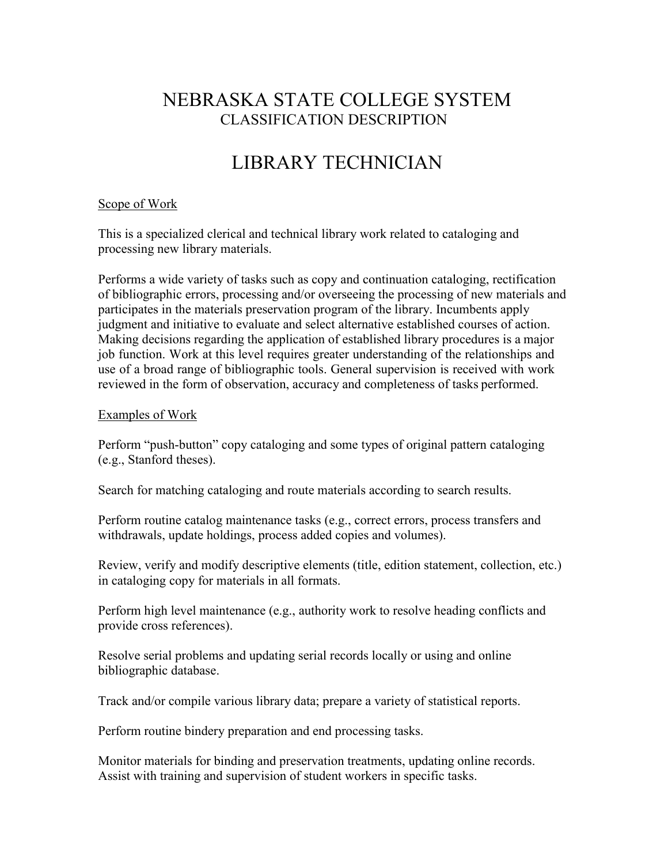# LIBRARY TECHNICIAN

## Scope of Work

This is a specialized clerical and technical library work related to cataloging and processing new library materials.

Performs a wide variety of tasks such as copy and continuation cataloging, rectification of bibliographic errors, processing and/or overseeing the processing of new materials and participates in the materials preservation program of the library. Incumbents apply judgment and initiative to evaluate and select alternative established courses of action. Making decisions regarding the application of established library procedures is a major job function. Work at this level requires greater understanding of the relationships and use of a broad range of bibliographic tools. General supervision is received with work reviewed in the form of observation, accuracy and completeness of tasks performed.

### Examples of Work

Perform "push-button" copy cataloging and some types of original pattern cataloging (e.g., Stanford theses).

Search for matching cataloging and route materials according to search results.

Perform routine catalog maintenance tasks (e.g., correct errors, process transfers and withdrawals, update holdings, process added copies and volumes).

Review, verify and modify descriptive elements (title, edition statement, collection, etc.) in cataloging copy for materials in all formats.

Perform high level maintenance (e.g., authority work to resolve heading conflicts and provide cross references).

Resolve serial problems and updating serial records locally or using and online bibliographic database.

Track and/or compile various library data; prepare a variety of statistical reports.

Perform routine bindery preparation and end processing tasks.

Monitor materials for binding and preservation treatments, updating online records. Assist with training and supervision of student workers in specific tasks.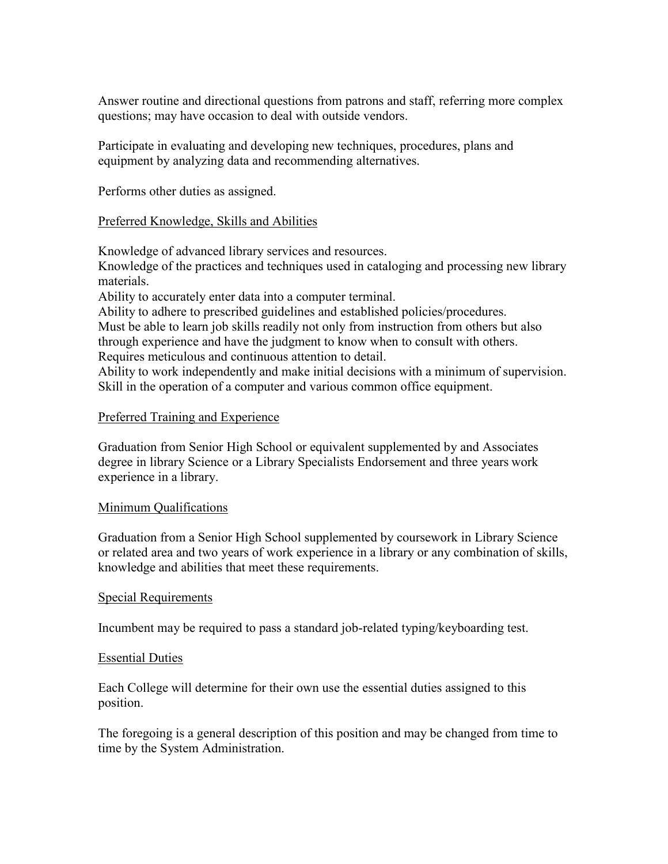Answer routine and directional questions from patrons and staff, referring more complex questions; may have occasion to deal with outside vendors.

Participate in evaluating and developing new techniques, procedures, plans and equipment by analyzing data and recommending alternatives.

Performs other duties as assigned.

## Preferred Knowledge, Skills and Abilities

Knowledge of advanced library services and resources.

Knowledge of the practices and techniques used in cataloging and processing new library materials.

Ability to accurately enter data into a computer terminal.

Ability to adhere to prescribed guidelines and established policies/procedures. Must be able to learn job skills readily not only from instruction from others but also through experience and have the judgment to know when to consult with others. Requires meticulous and continuous attention to detail.

Ability to work independently and make initial decisions with a minimum of supervision. Skill in the operation of a computer and various common office equipment.

## Preferred Training and Experience

Graduation from Senior High School or equivalent supplemented by and Associates degree in library Science or a Library Specialists Endorsement and three years work experience in a library.

### Minimum Qualifications

Graduation from a Senior High School supplemented by coursework in Library Science or related area and two years of work experience in a library or any combination of skills, knowledge and abilities that meet these requirements.

### Special Requirements

Incumbent may be required to pass a standard job-related typing/keyboarding test.

### Essential Duties

Each College will determine for their own use the essential duties assigned to this position.

The foregoing is a general description of this position and may be changed from time to time by the System Administration.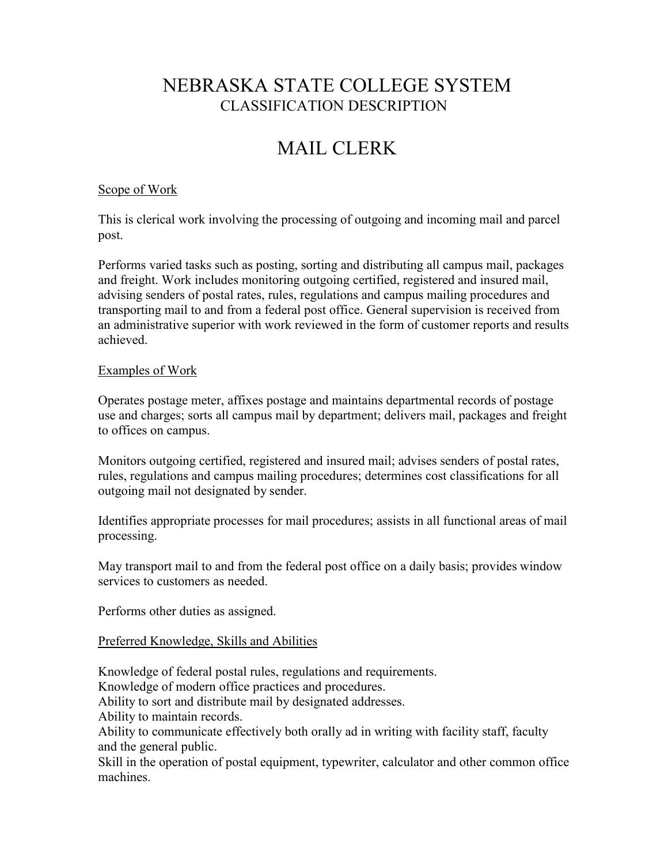# MAIL CLERK

## Scope of Work

This is clerical work involving the processing of outgoing and incoming mail and parcel post.

Performs varied tasks such as posting, sorting and distributing all campus mail, packages and freight. Work includes monitoring outgoing certified, registered and insured mail, advising senders of postal rates, rules, regulations and campus mailing procedures and transporting mail to and from a federal post office. General supervision is received from an administrative superior with work reviewed in the form of customer reports and results achieved.

## Examples of Work

Operates postage meter, affixes postage and maintains departmental records of postage use and charges; sorts all campus mail by department; delivers mail, packages and freight to offices on campus.

Monitors outgoing certified, registered and insured mail; advises senders of postal rates, rules, regulations and campus mailing procedures; determines cost classifications for all outgoing mail not designated by sender.

Identifies appropriate processes for mail procedures; assists in all functional areas of mail processing.

May transport mail to and from the federal post office on a daily basis; provides window services to customers as needed.

Performs other duties as assigned.

# Preferred Knowledge, Skills and Abilities

Knowledge of federal postal rules, regulations and requirements.

Knowledge of modern office practices and procedures.

Ability to sort and distribute mail by designated addresses.

Ability to maintain records.

Ability to communicate effectively both orally ad in writing with facility staff, faculty and the general public.

Skill in the operation of postal equipment, typewriter, calculator and other common office machines.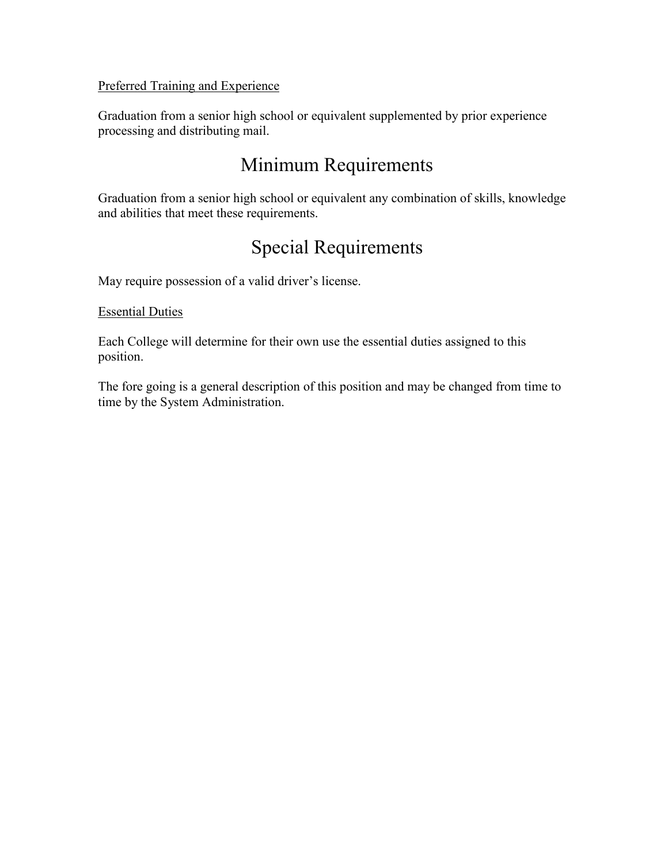## Preferred Training and Experience

Graduation from a senior high school or equivalent supplemented by prior experience processing and distributing mail.

# Minimum Requirements

Graduation from a senior high school or equivalent any combination of skills, knowledge and abilities that meet these requirements.

# Special Requirements

May require possession of a valid driver's license.

### Essential Duties

Each College will determine for their own use the essential duties assigned to this position.

The fore going is a general description of this position and may be changed from time to time by the System Administration.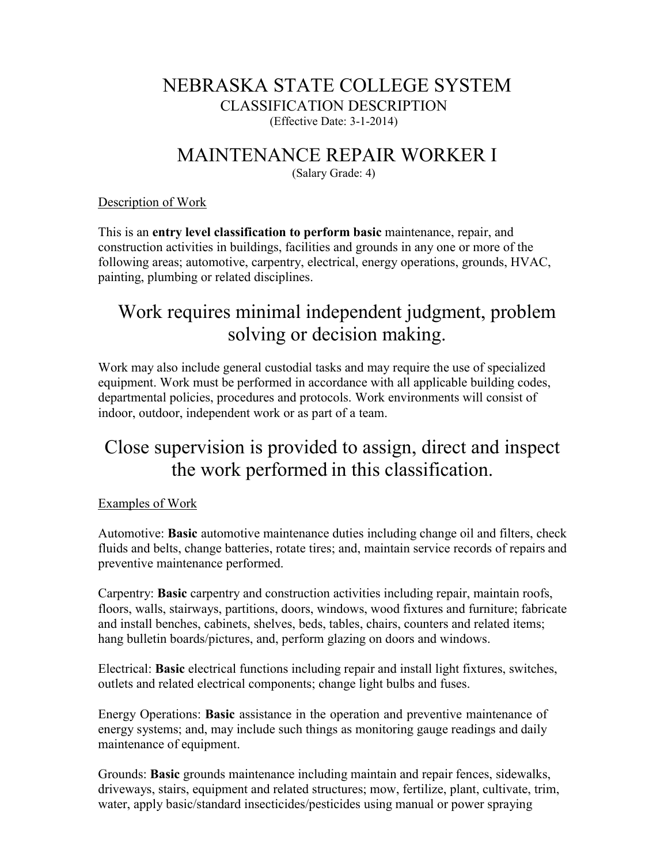# NEBRASKA STATE COLLEGE SYSTEM CLASSIFICATION DESCRIPTION (Effective Date: 3-1-2014)

# MAINTENANCE REPAIR WORKER I

(Salary Grade: 4)

# Description of Work

This is an **entry level classification to perform basic** maintenance, repair, and construction activities in buildings, facilities and grounds in any one or more of the following areas; automotive, carpentry, electrical, energy operations, grounds, HVAC, painting, plumbing or related disciplines.

# Work requires minimal independent judgment, problem solving or decision making.

Work may also include general custodial tasks and may require the use of specialized equipment. Work must be performed in accordance with all applicable building codes, departmental policies, procedures and protocols. Work environments will consist of indoor, outdoor, independent work or as part of a team.

# Close supervision is provided to assign, direct and inspect the work performed in this classification.

# Examples of Work

Automotive: **Basic** automotive maintenance duties including change oil and filters, check fluids and belts, change batteries, rotate tires; and, maintain service records of repairs and preventive maintenance performed.

Carpentry: **Basic** carpentry and construction activities including repair, maintain roofs, floors, walls, stairways, partitions, doors, windows, wood fixtures and furniture; fabricate and install benches, cabinets, shelves, beds, tables, chairs, counters and related items; hang bulletin boards/pictures, and, perform glazing on doors and windows.

Electrical: **Basic** electrical functions including repair and install light fixtures, switches, outlets and related electrical components; change light bulbs and fuses.

Energy Operations: **Basic** assistance in the operation and preventive maintenance of energy systems; and, may include such things as monitoring gauge readings and daily maintenance of equipment.

Grounds: **Basic** grounds maintenance including maintain and repair fences, sidewalks, driveways, stairs, equipment and related structures; mow, fertilize, plant, cultivate, trim, water, apply basic/standard insecticides/pesticides using manual or power spraying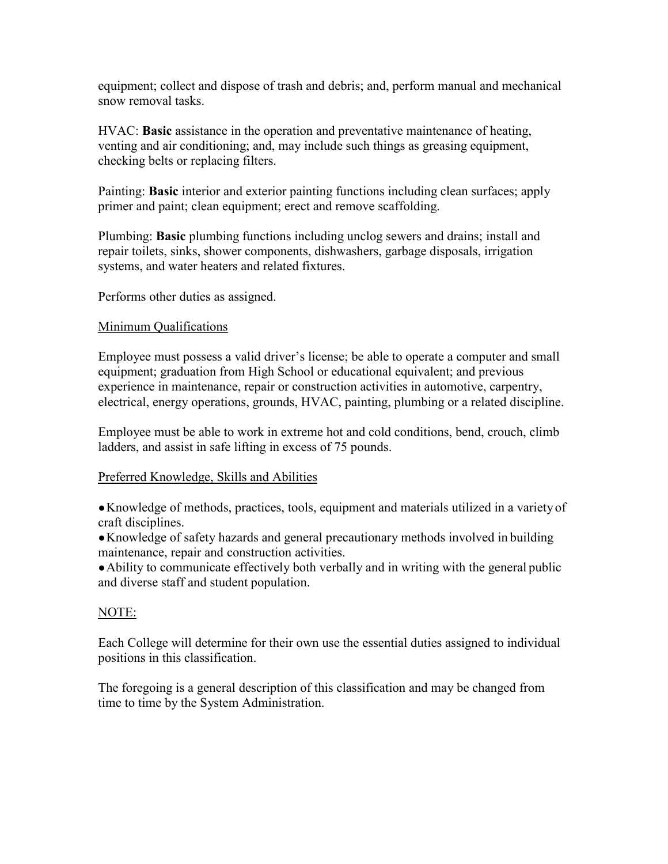equipment; collect and dispose of trash and debris; and, perform manual and mechanical snow removal tasks.

HVAC: **Basic** assistance in the operation and preventative maintenance of heating, venting and air conditioning; and, may include such things as greasing equipment, checking belts or replacing filters.

Painting: **Basic** interior and exterior painting functions including clean surfaces; apply primer and paint; clean equipment; erect and remove scaffolding.

Plumbing: **Basic** plumbing functions including unclog sewers and drains; install and repair toilets, sinks, shower components, dishwashers, garbage disposals, irrigation systems, and water heaters and related fixtures.

Performs other duties as assigned.

## Minimum Qualifications

Employee must possess a valid driver's license; be able to operate a computer and small equipment; graduation from High School or educational equivalent; and previous experience in maintenance, repair or construction activities in automotive, carpentry, electrical, energy operations, grounds, HVAC, painting, plumbing or a related discipline.

Employee must be able to work in extreme hot and cold conditions, bend, crouch, climb ladders, and assist in safe lifting in excess of 75 pounds.

# Preferred Knowledge, Skills and Abilities

●Knowledge of methods, practices, tools, equipment and materials utilized in a variety of craft disciplines.

●Knowledge of safety hazards and general precautionary methods involved in building maintenance, repair and construction activities.

• Ability to communicate effectively both verbally and in writing with the general public and diverse staff and student population.

# NOTE:

Each College will determine for their own use the essential duties assigned to individual positions in this classification.

The foregoing is a general description of this classification and may be changed from time to time by the System Administration.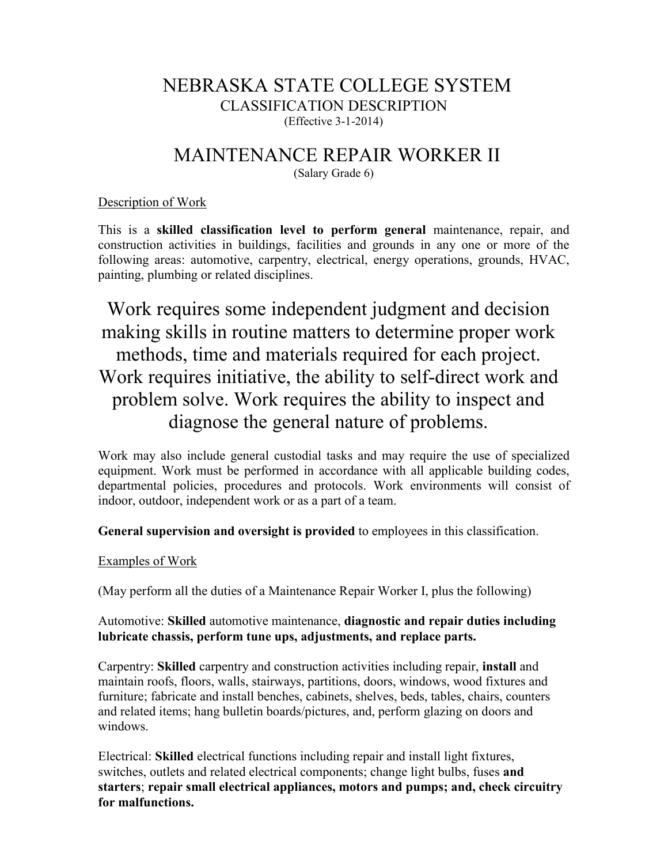# NEBRASKA STATE COLLEGE SYSTEM CLASSIFICATION DESCRIPTION (Effective 3-1-2014)

# MAINTENANCE REPAIR WORKER II

(Salary Grade 6)

# Description of Work

This is a **skilled classification level to perform general** maintenance, repair, and construction activities in buildings, facilities and grounds in any one or more of the following areas: automotive, carpentry, electrical, energy operations, grounds, HVAC, painting, plumbing or related disciplines.

Work requires some independent judgment and decision making skills in routine matters to determine proper work methods, time and materials required for each project. Work requires initiative, the ability to self-direct work and problem solve. Work requires the ability to inspect and diagnose the general nature of problems.

Work may also include general custodial tasks and may require the use of specialized equipment. Work must be performed in accordance with all applicable building codes, departmental policies, procedures and protocols. Work environments will consist of indoor, outdoor, independent work or as a part of a team.

**General supervision and oversight is provided** to employees in this classification.

# Examples of Work

(May perform all the duties of a Maintenance Repair Worker I, plus the following)

# Automotive: **Skilled** automotive maintenance, **diagnostic and repair duties including lubricate chassis, perform tune ups, adjustments, and replace parts.**

Carpentry: **Skilled** carpentry and construction activities including repair, **install** and maintain roofs, floors, walls, stairways, partitions, doors, windows, wood fixtures and furniture; fabricate and install benches, cabinets, shelves, beds, tables, chairs, counters and related items; hang bulletin boards/pictures, and, perform glazing on doors and windows.

Electrical: **Skilled** electrical functions including repair and install light fixtures, switches, outlets and related electrical components; change light bulbs, fuses **and starters**; **repair small electrical appliances, motors and pumps; and, check circuitry for malfunctions.**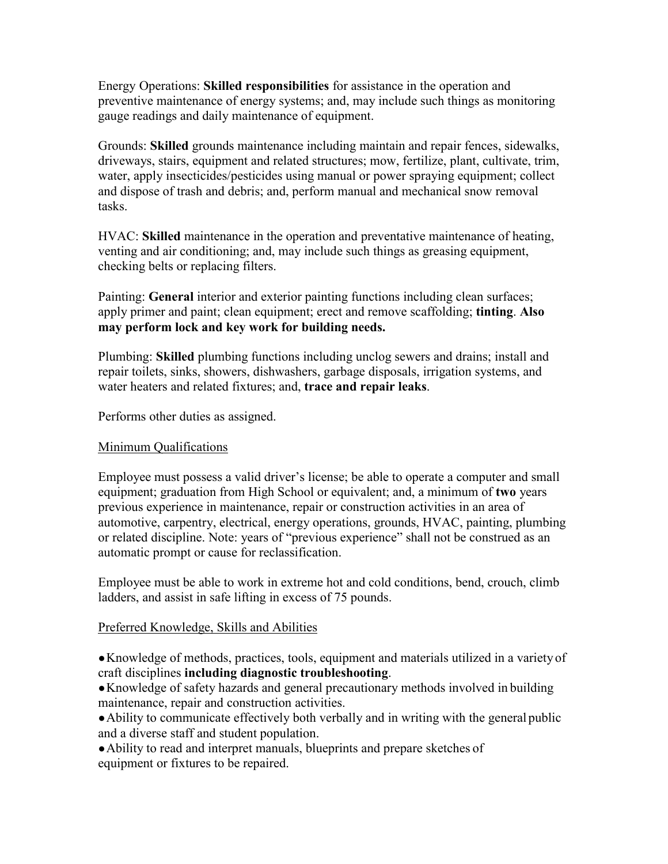Energy Operations: **Skilled responsibilities** for assistance in the operation and preventive maintenance of energy systems; and, may include such things as monitoring gauge readings and daily maintenance of equipment.

Grounds: **Skilled** grounds maintenance including maintain and repair fences, sidewalks, driveways, stairs, equipment and related structures; mow, fertilize, plant, cultivate, trim, water, apply insecticides/pesticides using manual or power spraying equipment; collect and dispose of trash and debris; and, perform manual and mechanical snow removal tasks.

HVAC: **Skilled** maintenance in the operation and preventative maintenance of heating, venting and air conditioning; and, may include such things as greasing equipment, checking belts or replacing filters.

Painting: **General** interior and exterior painting functions including clean surfaces; apply primer and paint; clean equipment; erect and remove scaffolding; **tinting**. **Also may perform lock and key work for building needs.**

Plumbing: **Skilled** plumbing functions including unclog sewers and drains; install and repair toilets, sinks, showers, dishwashers, garbage disposals, irrigation systems, and water heaters and related fixtures; and, **trace and repair leaks**.

Performs other duties as assigned.

# Minimum Qualifications

Employee must possess a valid driver's license; be able to operate a computer and small equipment; graduation from High School or equivalent; and, a minimum of **two** years previous experience in maintenance, repair or construction activities in an area of automotive, carpentry, electrical, energy operations, grounds, HVAC, painting, plumbing or related discipline. Note: years of "previous experience" shall not be construed as an automatic prompt or cause for reclassification.

Employee must be able to work in extreme hot and cold conditions, bend, crouch, climb ladders, and assist in safe lifting in excess of 75 pounds.

# Preferred Knowledge, Skills and Abilities

●Knowledge of methods, practices, tools, equipment and materials utilized in a varietyof craft disciplines **including diagnostic troubleshooting**.

●Knowledge of safety hazards and general precautionary methods involved in building maintenance, repair and construction activities.

• Ability to communicate effectively both verbally and in writing with the general public and a diverse staff and student population.

●Ability to read and interpret manuals, blueprints and prepare sketches of equipment or fixtures to be repaired.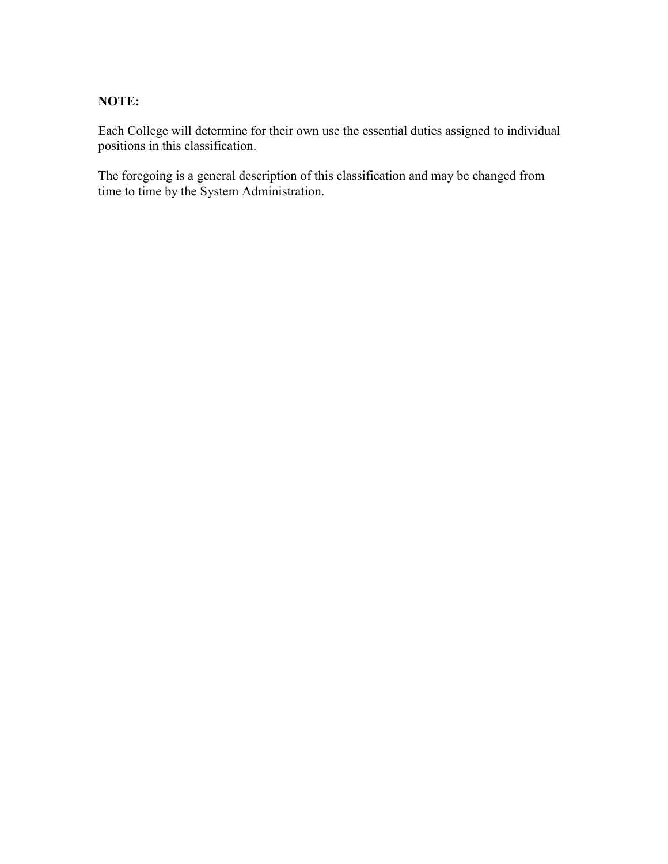# **NOTE:**

Each College will determine for their own use the essential duties assigned to individual positions in this classification.

The foregoing is a general description of this classification and may be changed from time to time by the System Administration.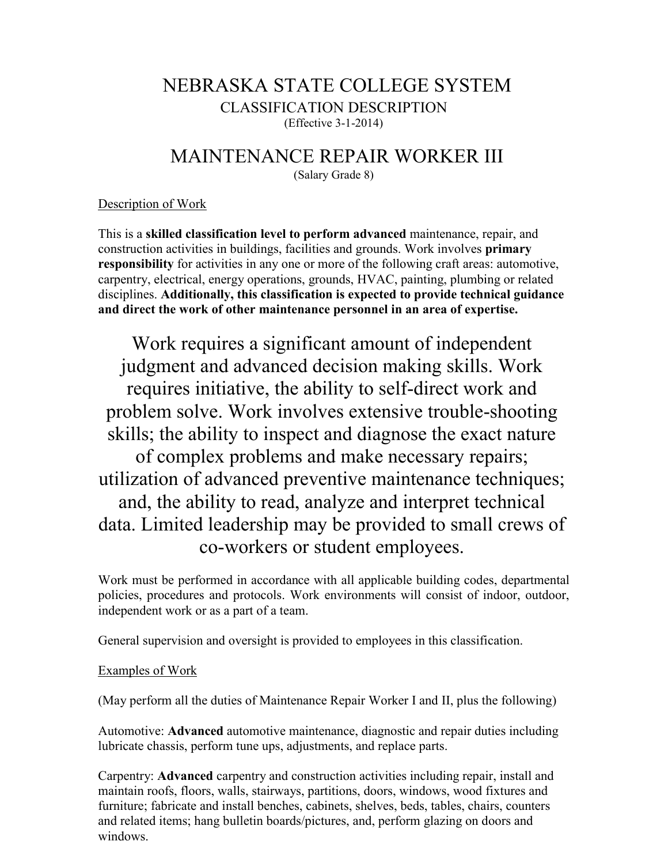# NEBRASKA STATE COLLEGE SYSTEM CLASSIFICATION DESCRIPTION (Effective 3-1-2014)

# MAINTENANCE REPAIR WORKER III

(Salary Grade 8)

## Description of Work

This is a **skilled classification level to perform advanced** maintenance, repair, and construction activities in buildings, facilities and grounds. Work involves **primary responsibility** for activities in any one or more of the following craft areas: automotive, carpentry, electrical, energy operations, grounds, HVAC, painting, plumbing or related disciplines. **Additionally, this classification is expected to provide technical guidance and direct the work of other maintenance personnel in an area of expertise.**

Work requires a significant amount of independent judgment and advanced decision making skills. Work requires initiative, the ability to self-direct work and problem solve. Work involves extensive trouble-shooting skills; the ability to inspect and diagnose the exact nature of complex problems and make necessary repairs; utilization of advanced preventive maintenance techniques; and, the ability to read, analyze and interpret technical data. Limited leadership may be provided to small crews of co-workers or student employees.

Work must be performed in accordance with all applicable building codes, departmental policies, procedures and protocols. Work environments will consist of indoor, outdoor, independent work or as a part of a team.

General supervision and oversight is provided to employees in this classification.

### Examples of Work

(May perform all the duties of Maintenance Repair Worker I and II, plus the following)

Automotive: **Advanced** automotive maintenance, diagnostic and repair duties including lubricate chassis, perform tune ups, adjustments, and replace parts.

Carpentry: **Advanced** carpentry and construction activities including repair, install and maintain roofs, floors, walls, stairways, partitions, doors, windows, wood fixtures and furniture; fabricate and install benches, cabinets, shelves, beds, tables, chairs, counters and related items; hang bulletin boards/pictures, and, perform glazing on doors and windows.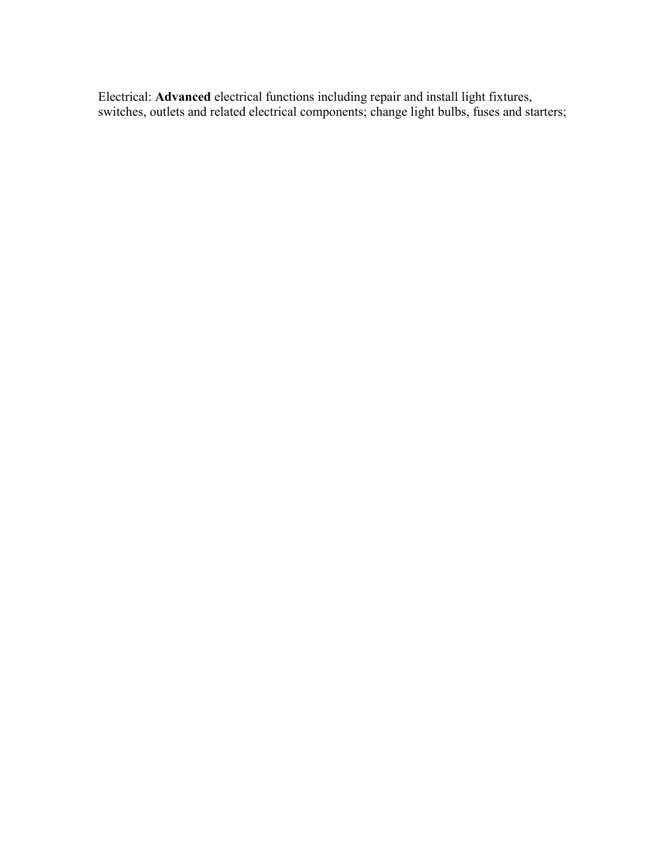Electrical: **Advanced** electrical functions including repair and install light fixtures, switches, outlets and related electrical components; change light bulbs, fuses and starters;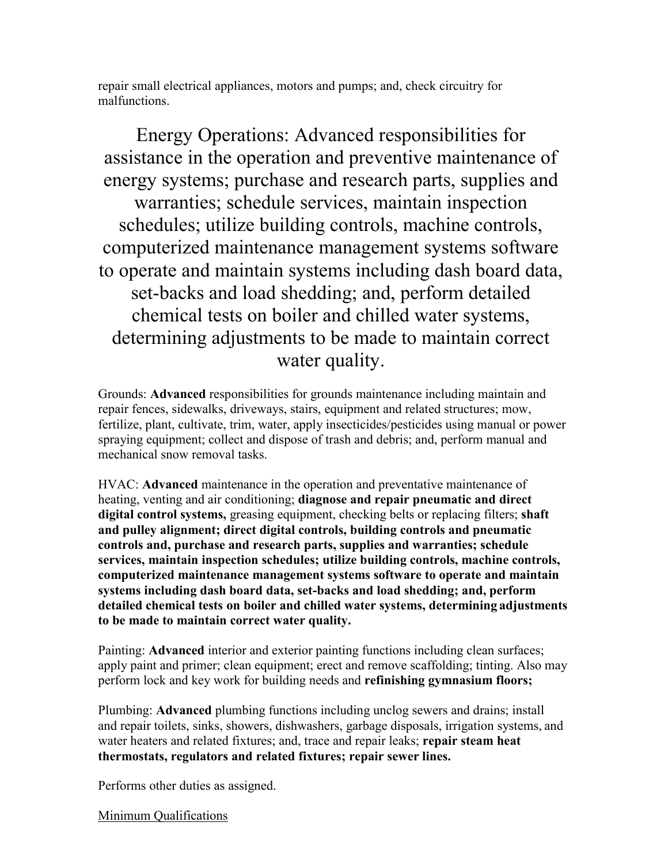repair small electrical appliances, motors and pumps; and, check circuitry for malfunctions.

Energy Operations: Advanced responsibilities for assistance in the operation and preventive maintenance of energy systems; purchase and research parts, supplies and warranties; schedule services, maintain inspection schedules; utilize building controls, machine controls, computerized maintenance management systems software to operate and maintain systems including dash board data, set-backs and load shedding; and, perform detailed chemical tests on boiler and chilled water systems, determining adjustments to be made to maintain correct water quality.

Grounds: **Advanced** responsibilities for grounds maintenance including maintain and repair fences, sidewalks, driveways, stairs, equipment and related structures; mow, fertilize, plant, cultivate, trim, water, apply insecticides/pesticides using manual or power spraying equipment; collect and dispose of trash and debris; and, perform manual and mechanical snow removal tasks.

HVAC: **Advanced** maintenance in the operation and preventative maintenance of heating, venting and air conditioning; **diagnose and repair pneumatic and direct digital control systems,** greasing equipment, checking belts or replacing filters; **shaft and pulley alignment; direct digital controls, building controls and pneumatic controls and, purchase and research parts, supplies and warranties; schedule services, maintain inspection schedules; utilize building controls, machine controls, computerized maintenance management systems software to operate and maintain systems including dash board data, set-backs and load shedding; and, perform detailed chemical tests on boiler and chilled water systems, determining adjustments to be made to maintain correct water quality.**

Painting: **Advanced** interior and exterior painting functions including clean surfaces; apply paint and primer; clean equipment; erect and remove scaffolding; tinting. Also may perform lock and key work for building needs and **refinishing gymnasium floors;**

Plumbing: **Advanced** plumbing functions including unclog sewers and drains; install and repair toilets, sinks, showers, dishwashers, garbage disposals, irrigation systems, and water heaters and related fixtures; and, trace and repair leaks; **repair steam heat thermostats, regulators and related fixtures; repair sewer lines.**

Performs other duties as assigned.

Minimum Qualifications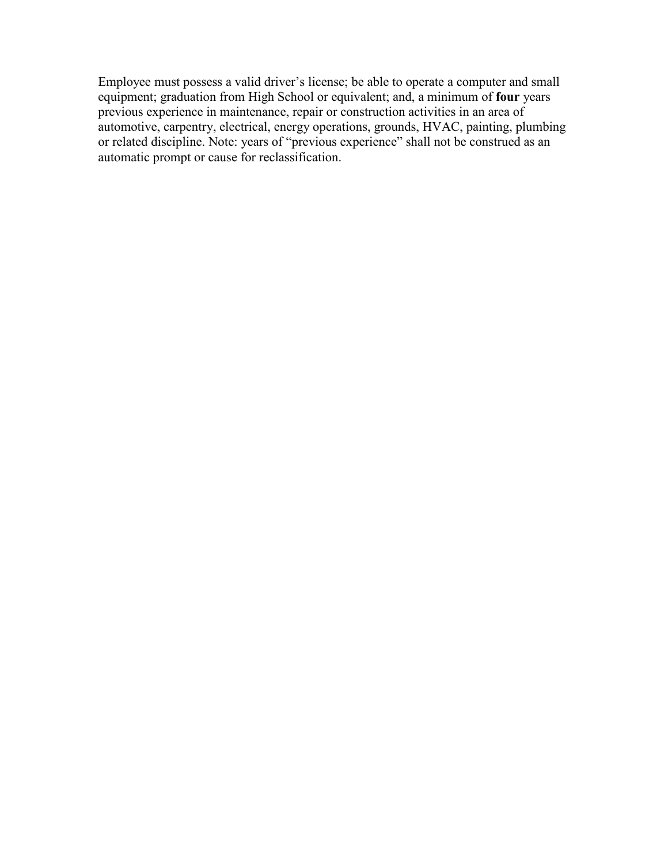Employee must possess a valid driver's license; be able to operate a computer and small equipment; graduation from High School or equivalent; and, a minimum of **four** years previous experience in maintenance, repair or construction activities in an area of automotive, carpentry, electrical, energy operations, grounds, HVAC, painting, plumbing or related discipline. Note: years of "previous experience" shall not be construed as an automatic prompt or cause for reclassification.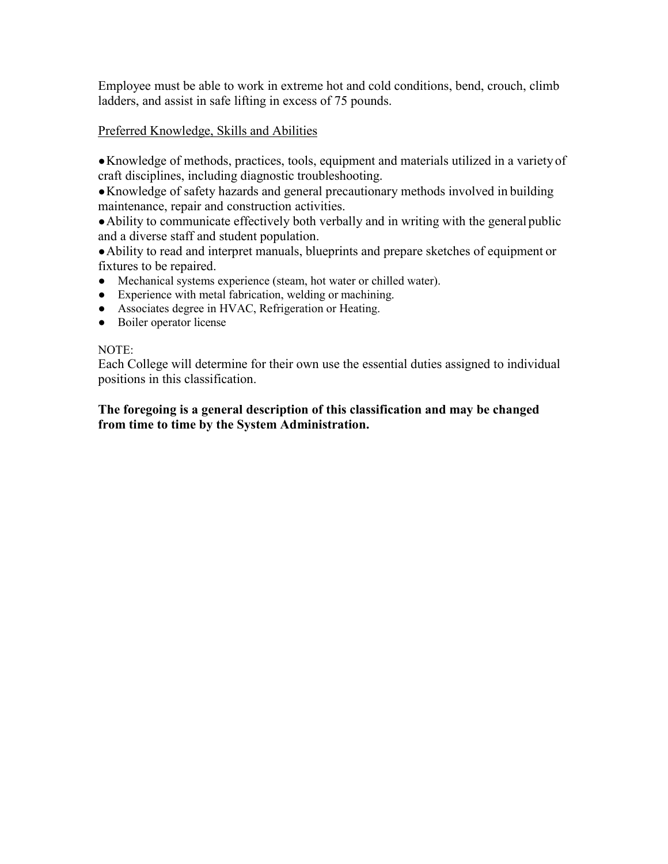Employee must be able to work in extreme hot and cold conditions, bend, crouch, climb ladders, and assist in safe lifting in excess of 75 pounds.

Preferred Knowledge, Skills and Abilities

●Knowledge of methods, practices, tools, equipment and materials utilized in a varietyof craft disciplines, including diagnostic troubleshooting.

●Knowledge of safety hazards and general precautionary methods involved in building maintenance, repair and construction activities.

●Ability to communicate effectively both verbally and in writing with the general public and a diverse staff and student population.

●Ability to read and interpret manuals, blueprints and prepare sketches of equipment or fixtures to be repaired.

● Mechanical systems experience (steam, hot water or chilled water).

- Experience with metal fabrication, welding or machining.
- Associates degree in HVAC, Refrigeration or Heating.
- Boiler operator license

### NOTE:

Each College will determine for their own use the essential duties assigned to individual positions in this classification.

**The foregoing is a general description of this classification and may be changed from time to time by the System Administration.**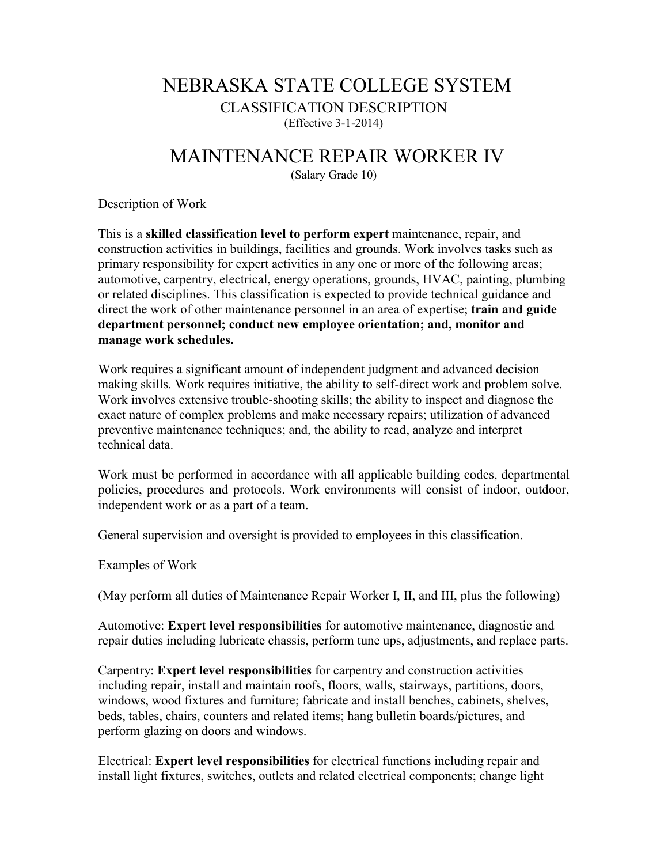# NEBRASKA STATE COLLEGE SYSTEM CLASSIFICATION DESCRIPTION (Effective 3-1-2014)

# MAINTENANCE REPAIR WORKER IV

(Salary Grade 10)

## Description of Work

This is a **skilled classification level to perform expert** maintenance, repair, and construction activities in buildings, facilities and grounds. Work involves tasks such as primary responsibility for expert activities in any one or more of the following areas; automotive, carpentry, electrical, energy operations, grounds, HVAC, painting, plumbing or related disciplines. This classification is expected to provide technical guidance and direct the work of other maintenance personnel in an area of expertise; **train and guide department personnel; conduct new employee orientation; and, monitor and manage work schedules.**

Work requires a significant amount of independent judgment and advanced decision making skills. Work requires initiative, the ability to self-direct work and problem solve. Work involves extensive trouble-shooting skills; the ability to inspect and diagnose the exact nature of complex problems and make necessary repairs; utilization of advanced preventive maintenance techniques; and, the ability to read, analyze and interpret technical data.

Work must be performed in accordance with all applicable building codes, departmental policies, procedures and protocols. Work environments will consist of indoor, outdoor, independent work or as a part of a team.

General supervision and oversight is provided to employees in this classification.

### Examples of Work

(May perform all duties of Maintenance Repair Worker I, II, and III, plus the following)

Automotive: **Expert level responsibilities** for automotive maintenance, diagnostic and repair duties including lubricate chassis, perform tune ups, adjustments, and replace parts.

Carpentry: **Expert level responsibilities** for carpentry and construction activities including repair, install and maintain roofs, floors, walls, stairways, partitions, doors, windows, wood fixtures and furniture; fabricate and install benches, cabinets, shelves, beds, tables, chairs, counters and related items; hang bulletin boards/pictures, and perform glazing on doors and windows.

Electrical: **Expert level responsibilities** for electrical functions including repair and install light fixtures, switches, outlets and related electrical components; change light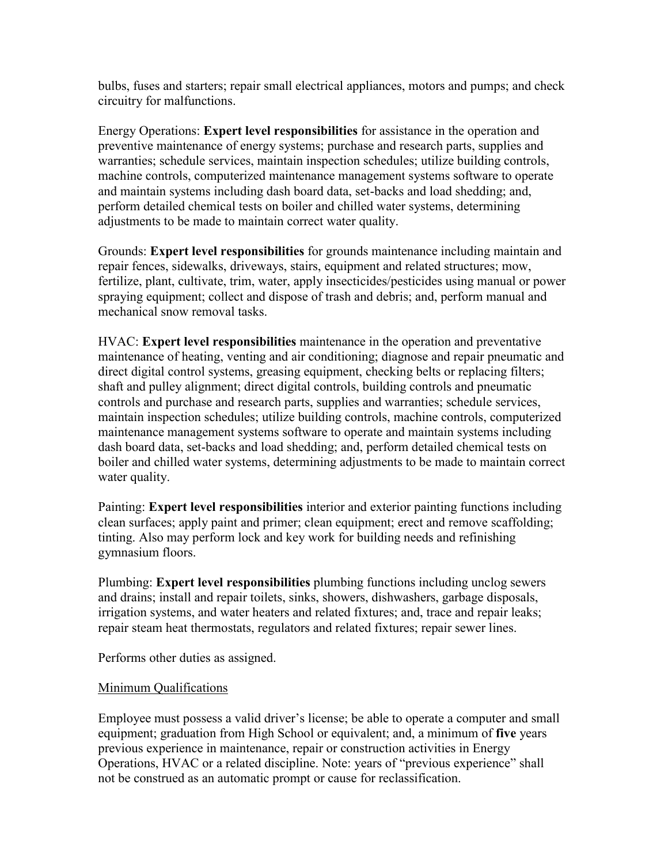bulbs, fuses and starters; repair small electrical appliances, motors and pumps; and check circuitry for malfunctions.

Energy Operations: **Expert level responsibilities** for assistance in the operation and preventive maintenance of energy systems; purchase and research parts, supplies and warranties; schedule services, maintain inspection schedules; utilize building controls, machine controls, computerized maintenance management systems software to operate and maintain systems including dash board data, set-backs and load shedding; and, perform detailed chemical tests on boiler and chilled water systems, determining adjustments to be made to maintain correct water quality.

Grounds: **Expert level responsibilities** for grounds maintenance including maintain and repair fences, sidewalks, driveways, stairs, equipment and related structures; mow, fertilize, plant, cultivate, trim, water, apply insecticides/pesticides using manual or power spraying equipment; collect and dispose of trash and debris; and, perform manual and mechanical snow removal tasks.

HVAC: **Expert level responsibilities** maintenance in the operation and preventative maintenance of heating, venting and air conditioning; diagnose and repair pneumatic and direct digital control systems, greasing equipment, checking belts or replacing filters; shaft and pulley alignment; direct digital controls, building controls and pneumatic controls and purchase and research parts, supplies and warranties; schedule services, maintain inspection schedules; utilize building controls, machine controls, computerized maintenance management systems software to operate and maintain systems including dash board data, set-backs and load shedding; and, perform detailed chemical tests on boiler and chilled water systems, determining adjustments to be made to maintain correct water quality.

Painting: **Expert level responsibilities** interior and exterior painting functions including clean surfaces; apply paint and primer; clean equipment; erect and remove scaffolding; tinting. Also may perform lock and key work for building needs and refinishing gymnasium floors.

Plumbing: **Expert level responsibilities** plumbing functions including unclog sewers and drains; install and repair toilets, sinks, showers, dishwashers, garbage disposals, irrigation systems, and water heaters and related fixtures; and, trace and repair leaks; repair steam heat thermostats, regulators and related fixtures; repair sewer lines.

Performs other duties as assigned.

### Minimum Qualifications

Employee must possess a valid driver's license; be able to operate a computer and small equipment; graduation from High School or equivalent; and, a minimum of **five** years previous experience in maintenance, repair or construction activities in Energy Operations, HVAC or a related discipline. Note: years of "previous experience" shall not be construed as an automatic prompt or cause for reclassification.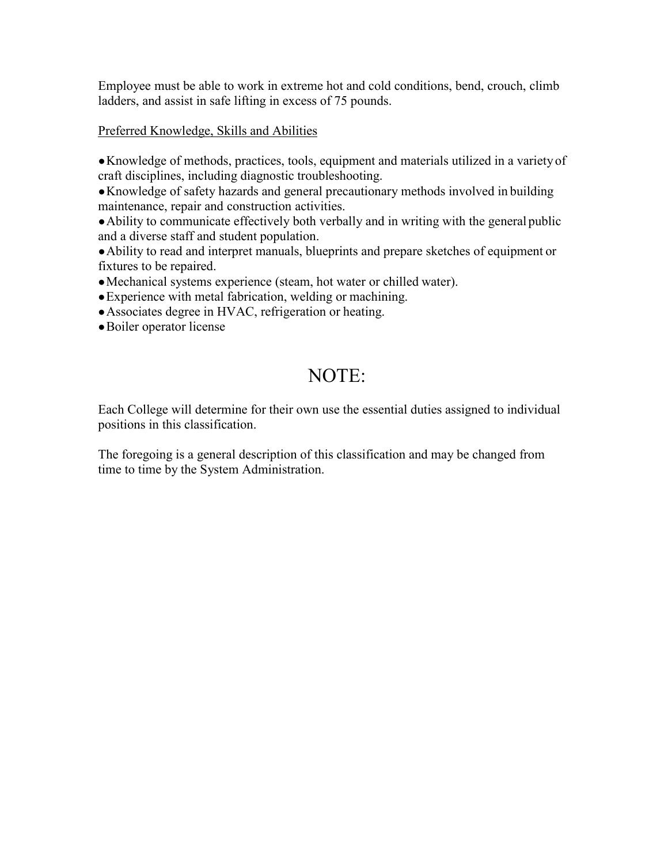Employee must be able to work in extreme hot and cold conditions, bend, crouch, climb ladders, and assist in safe lifting in excess of 75 pounds.

Preferred Knowledge, Skills and Abilities

●Knowledge of methods, practices, tools, equipment and materials utilized in a varietyof craft disciplines, including diagnostic troubleshooting.

●Knowledge of safety hazards and general precautionary methods involved in building maintenance, repair and construction activities.

●Ability to communicate effectively both verbally and in writing with the general public and a diverse staff and student population.

●Ability to read and interpret manuals, blueprints and prepare sketches of equipment or fixtures to be repaired.

●Mechanical systems experience (steam, hot water or chilled water).

- ●Experience with metal fabrication, welding or machining.
- ●Associates degree in HVAC, refrigeration or heating.
- ●Boiler operator license

# NOTE:

Each College will determine for their own use the essential duties assigned to individual positions in this classification.

The foregoing is a general description of this classification and may be changed from time to time by the System Administration.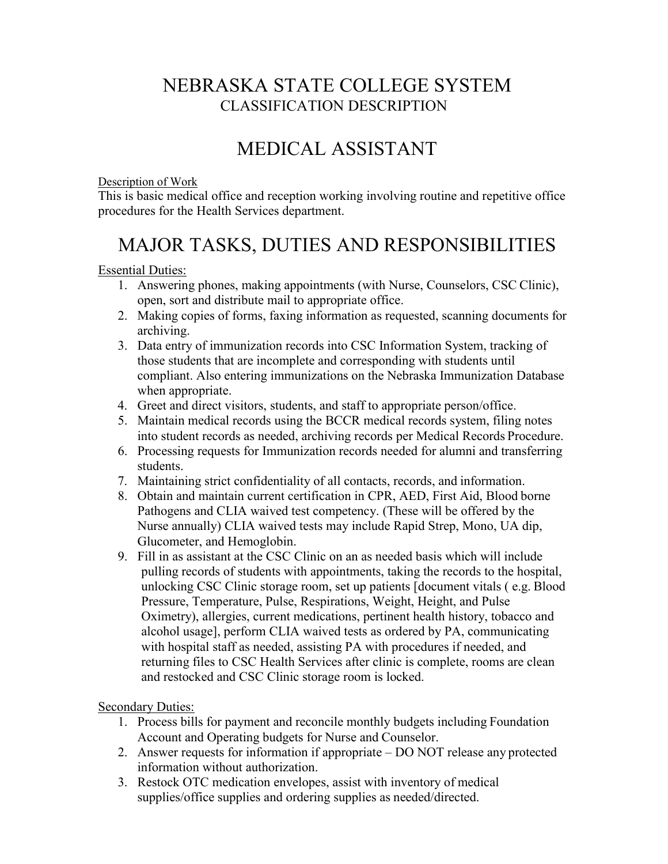# MEDICAL ASSISTANT

Description of Work

This is basic medical office and reception working involving routine and repetitive office procedures for the Health Services department.

# MAJOR TASKS, DUTIES AND RESPONSIBILITIES

## Essential Duties:

- 1. Answering phones, making appointments (with Nurse, Counselors, CSC Clinic), open, sort and distribute mail to appropriate office.
- 2. Making copies of forms, faxing information as requested, scanning documents for archiving.
- 3. Data entry of immunization records into CSC Information System, tracking of those students that are incomplete and corresponding with students until compliant. Also entering immunizations on the Nebraska Immunization Database when appropriate.
- 4. Greet and direct visitors, students, and staff to appropriate person/office.
- 5. Maintain medical records using the BCCR medical records system, filing notes into student records as needed, archiving records per Medical Records Procedure.
- 6. Processing requests for Immunization records needed for alumni and transferring students.
- 7. Maintaining strict confidentiality of all contacts, records, and information.
- 8. Obtain and maintain current certification in CPR, AED, First Aid, Blood borne Pathogens and CLIA waived test competency. (These will be offered by the Nurse annually) CLIA waived tests may include Rapid Strep, Mono, UA dip, Glucometer, and Hemoglobin.
- 9. Fill in as assistant at the CSC Clinic on an as needed basis which will include pulling records of students with appointments, taking the records to the hospital, unlocking CSC Clinic storage room, set up patients [document vitals ( e.g. Blood Pressure, Temperature, Pulse, Respirations, Weight, Height, and Pulse Oximetry), allergies, current medications, pertinent health history, tobacco and alcohol usage], perform CLIA waived tests as ordered by PA, communicating with hospital staff as needed, assisting PA with procedures if needed, and returning files to CSC Health Services after clinic is complete, rooms are clean and restocked and CSC Clinic storage room is locked.

Secondary Duties:

- 1. Process bills for payment and reconcile monthly budgets including Foundation Account and Operating budgets for Nurse and Counselor.
- 2. Answer requests for information if appropriate DO NOT release any protected information without authorization.
- 3. Restock OTC medication envelopes, assist with inventory of medical supplies/office supplies and ordering supplies as needed/directed.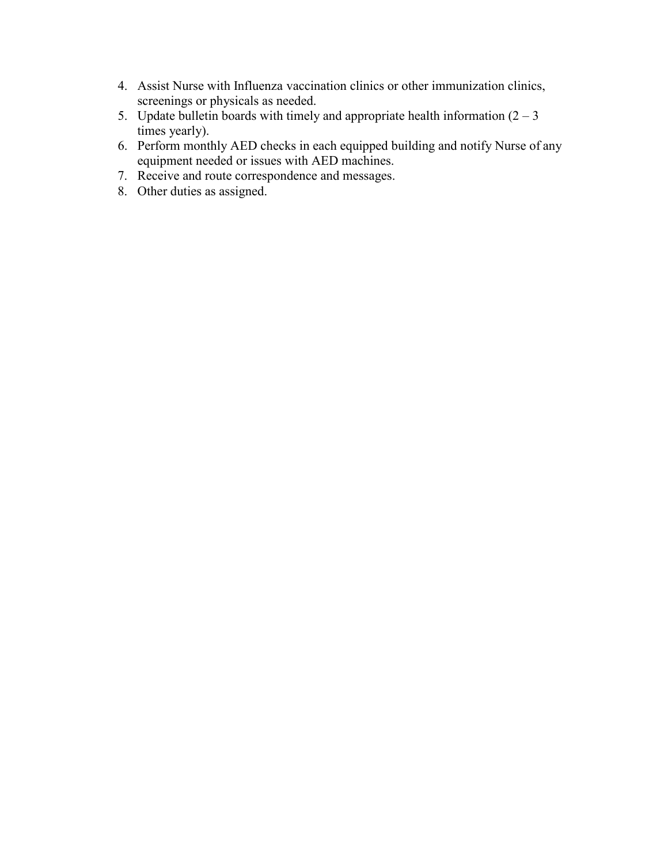- 4. Assist Nurse with Influenza vaccination clinics or other immunization clinics, screenings or physicals as needed.
- 5. Update bulletin boards with timely and appropriate health information  $(2 3)$ times yearly).
- 6. Perform monthly AED checks in each equipped building and notify Nurse of any equipment needed or issues with AED machines.
- 7. Receive and route correspondence and messages.
- 8. Other duties as assigned.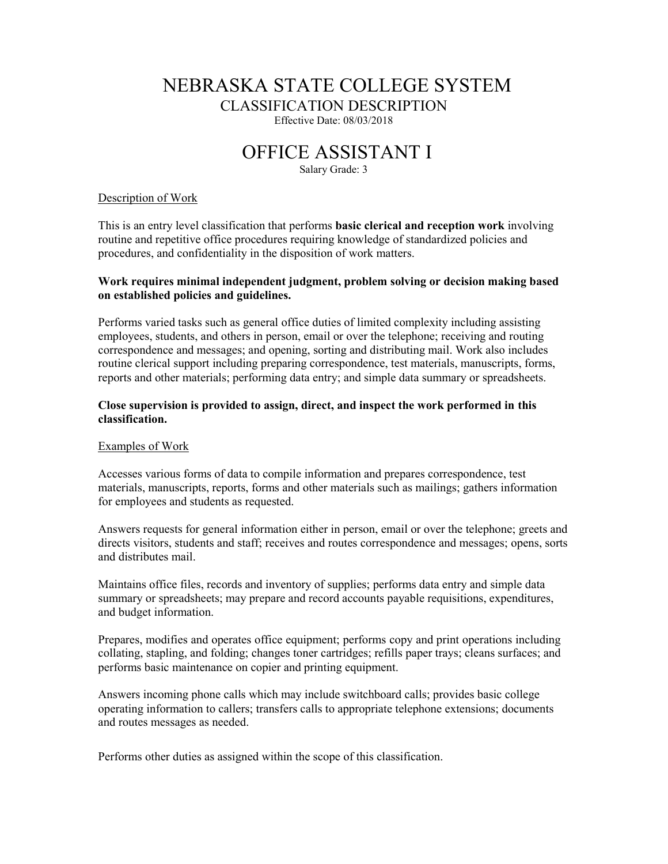NEBRASKA STATE COLLEGE SYSTEM

CLASSIFICATION DESCRIPTION

Effective Date: 08/03/2018

# OFFICE ASSISTANT I

Salary Grade: 3

#### Description of Work

This is an entry level classification that performs **basic clerical and reception work** involving routine and repetitive office procedures requiring knowledge of standardized policies and procedures, and confidentiality in the disposition of work matters.

#### **Work requires minimal independent judgment, problem solving or decision making based on established policies and guidelines.**

Performs varied tasks such as general office duties of limited complexity including assisting employees, students, and others in person, email or over the telephone; receiving and routing correspondence and messages; and opening, sorting and distributing mail. Work also includes routine clerical support including preparing correspondence, test materials, manuscripts, forms, reports and other materials; performing data entry; and simple data summary or spreadsheets.

### **Close supervision is provided to assign, direct, and inspect the work performed in this classification.**

#### Examples of Work

Accesses various forms of data to compile information and prepares correspondence, test materials, manuscripts, reports, forms and other materials such as mailings; gathers information for employees and students as requested.

Answers requests for general information either in person, email or over the telephone; greets and directs visitors, students and staff; receives and routes correspondence and messages; opens, sorts and distributes mail.

Maintains office files, records and inventory of supplies; performs data entry and simple data summary or spreadsheets; may prepare and record accounts payable requisitions, expenditures, and budget information.

Prepares, modifies and operates office equipment; performs copy and print operations including collating, stapling, and folding; changes toner cartridges; refills paper trays; cleans surfaces; and performs basic maintenance on copier and printing equipment.

Answers incoming phone calls which may include switchboard calls; provides basic college operating information to callers; transfers calls to appropriate telephone extensions; documents and routes messages as needed.

Performs other duties as assigned within the scope of this classification.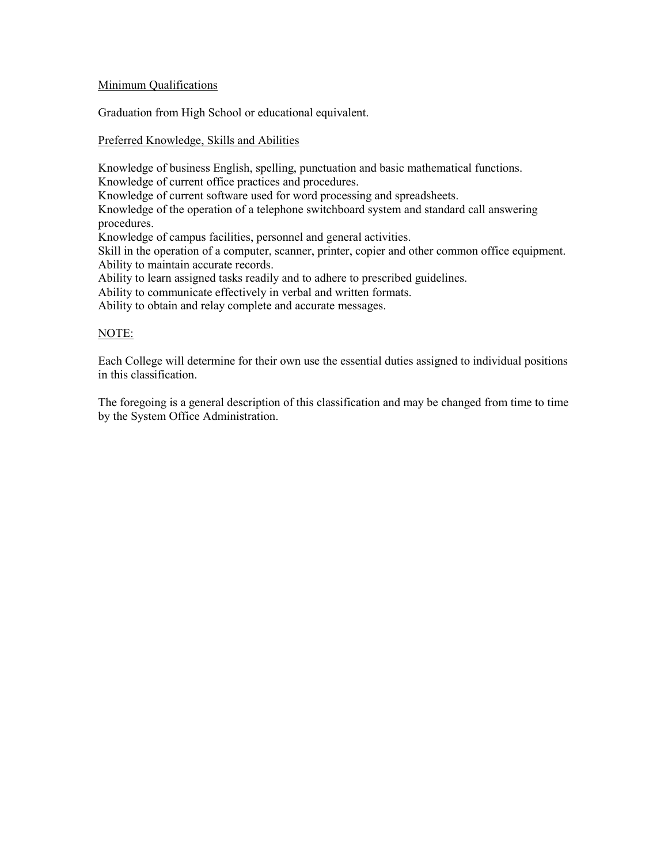#### Minimum Qualifications

Graduation from High School or educational equivalent.

#### Preferred Knowledge, Skills and Abilities

Knowledge of business English, spelling, punctuation and basic mathematical functions. Knowledge of current office practices and procedures. Knowledge of current software used for word processing and spreadsheets. Knowledge of the operation of a telephone switchboard system and standard call answering procedures. Knowledge of campus facilities, personnel and general activities. Skill in the operation of a computer, scanner, printer, copier and other common office equipment. Ability to maintain accurate records. Ability to learn assigned tasks readily and to adhere to prescribed guidelines. Ability to communicate effectively in verbal and written formats. Ability to obtain and relay complete and accurate messages. NOTE:

Each College will determine for their own use the essential duties assigned to individual positions in this classification.

The foregoing is a general description of this classification and may be changed from time to time by the System Office Administration.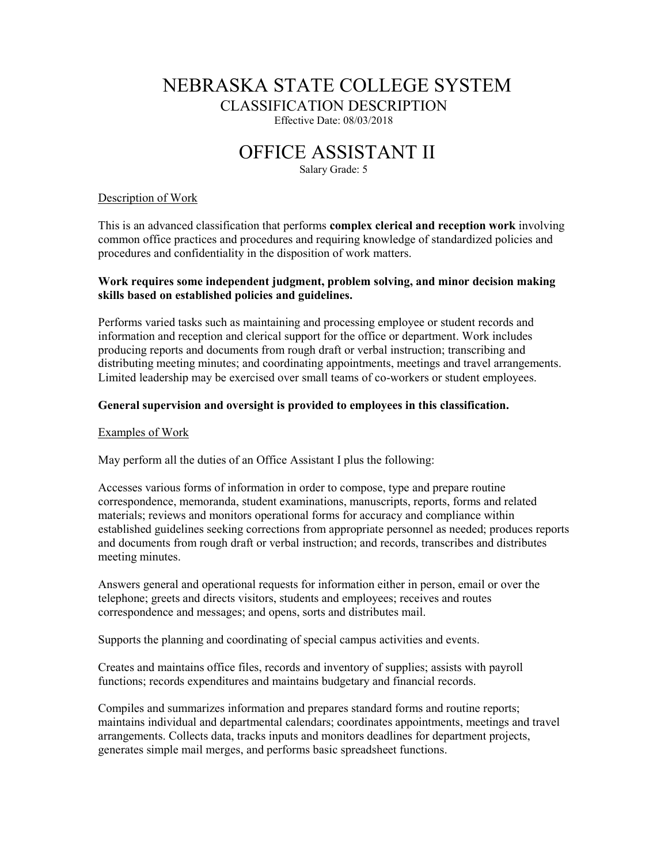NEBRASKA STATE COLLEGE SYSTEM

CLASSIFICATION DESCRIPTION

Effective Date: 08/03/2018

# OFFICE ASSISTANT II

Salary Grade: 5

#### Description of Work

This is an advanced classification that performs **complex clerical and reception work** involving common office practices and procedures and requiring knowledge of standardized policies and procedures and confidentiality in the disposition of work matters.

#### **Work requires some independent judgment, problem solving, and minor decision making skills based on established policies and guidelines.**

Performs varied tasks such as maintaining and processing employee or student records and information and reception and clerical support for the office or department. Work includes producing reports and documents from rough draft or verbal instruction; transcribing and distributing meeting minutes; and coordinating appointments, meetings and travel arrangements. Limited leadership may be exercised over small teams of co-workers or student employees.

### **General supervision and oversight is provided to employees in this classification.**

### Examples of Work

May perform all the duties of an Office Assistant I plus the following:

Accesses various forms of information in order to compose, type and prepare routine correspondence, memoranda, student examinations, manuscripts, reports, forms and related materials; reviews and monitors operational forms for accuracy and compliance within established guidelines seeking corrections from appropriate personnel as needed; produces reports and documents from rough draft or verbal instruction; and records, transcribes and distributes meeting minutes.

Answers general and operational requests for information either in person, email or over the telephone; greets and directs visitors, students and employees; receives and routes correspondence and messages; and opens, sorts and distributes mail.

Supports the planning and coordinating of special campus activities and events.

Creates and maintains office files, records and inventory of supplies; assists with payroll functions; records expenditures and maintains budgetary and financial records.

Compiles and summarizes information and prepares standard forms and routine reports; maintains individual and departmental calendars; coordinates appointments, meetings and travel arrangements. Collects data, tracks inputs and monitors deadlines for department projects, generates simple mail merges, and performs basic spreadsheet functions.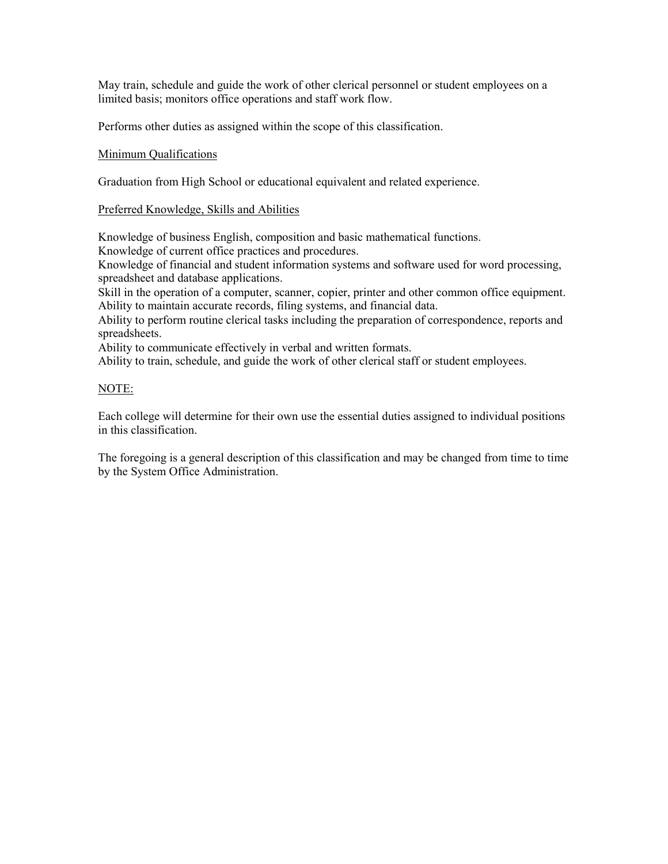May train, schedule and guide the work of other clerical personnel or student employees on a limited basis; monitors office operations and staff work flow.

Performs other duties as assigned within the scope of this classification.

#### Minimum Qualifications

Graduation from High School or educational equivalent and related experience.

### Preferred Knowledge, Skills and Abilities

Knowledge of business English, composition and basic mathematical functions.

Knowledge of current office practices and procedures.

Knowledge of financial and student information systems and software used for word processing, spreadsheet and database applications.

Skill in the operation of a computer, scanner, copier, printer and other common office equipment. Ability to maintain accurate records, filing systems, and financial data.

Ability to perform routine clerical tasks including the preparation of correspondence, reports and spreadsheets.

Ability to communicate effectively in verbal and written formats.

Ability to train, schedule, and guide the work of other clerical staff or student employees.

### NOTE:

Each college will determine for their own use the essential duties assigned to individual positions in this classification.

The foregoing is a general description of this classification and may be changed from time to time by the System Office Administration.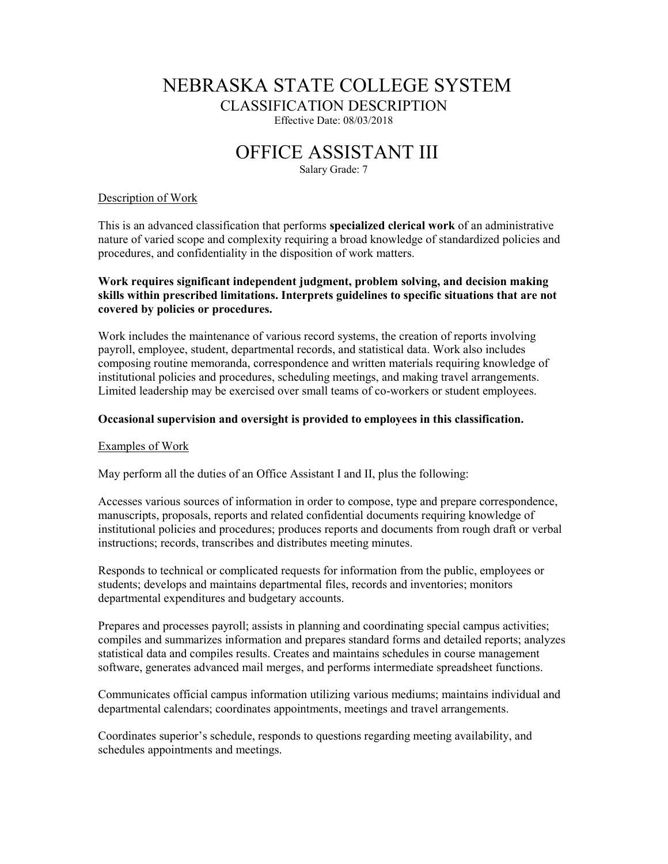NEBRASKA STATE COLLEGE SYSTEM

CLASSIFICATION DESCRIPTION

Effective Date: 08/03/2018

# OFFICE ASSISTANT III

Salary Grade: 7

#### Description of Work

This is an advanced classification that performs **specialized clerical work** of an administrative nature of varied scope and complexity requiring a broad knowledge of standardized policies and procedures, and confidentiality in the disposition of work matters.

#### **Work requires significant independent judgment, problem solving, and decision making skills within prescribed limitations. Interprets guidelines to specific situations that are not covered by policies or procedures.**

Work includes the maintenance of various record systems, the creation of reports involving payroll, employee, student, departmental records, and statistical data. Work also includes composing routine memoranda, correspondence and written materials requiring knowledge of institutional policies and procedures, scheduling meetings, and making travel arrangements. Limited leadership may be exercised over small teams of co-workers or student employees.

#### **Occasional supervision and oversight is provided to employees in this classification.**

#### Examples of Work

May perform all the duties of an Office Assistant I and II, plus the following:

Accesses various sources of information in order to compose, type and prepare correspondence, manuscripts, proposals, reports and related confidential documents requiring knowledge of institutional policies and procedures; produces reports and documents from rough draft or verbal instructions; records, transcribes and distributes meeting minutes.

Responds to technical or complicated requests for information from the public, employees or students; develops and maintains departmental files, records and inventories; monitors departmental expenditures and budgetary accounts.

Prepares and processes payroll; assists in planning and coordinating special campus activities; compiles and summarizes information and prepares standard forms and detailed reports; analyzes statistical data and compiles results. Creates and maintains schedules in course management software, generates advanced mail merges, and performs intermediate spreadsheet functions.

Communicates official campus information utilizing various mediums; maintains individual and departmental calendars; coordinates appointments, meetings and travel arrangements.

Coordinates superior's schedule, responds to questions regarding meeting availability, and schedules appointments and meetings.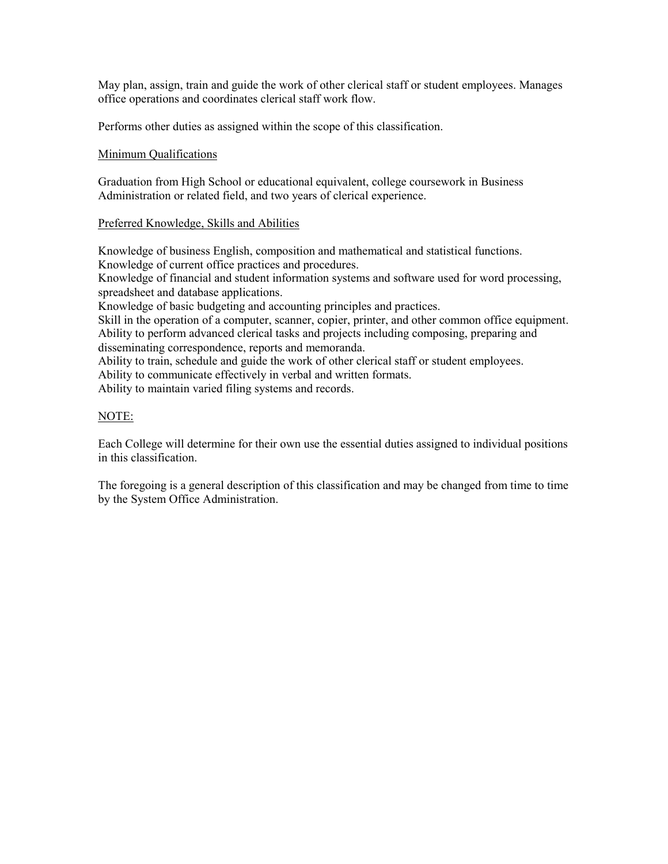May plan, assign, train and guide the work of other clerical staff or student employees. Manages office operations and coordinates clerical staff work flow.

Performs other duties as assigned within the scope of this classification.

#### Minimum Qualifications

Graduation from High School or educational equivalent, college coursework in Business Administration or related field, and two years of clerical experience.

#### Preferred Knowledge, Skills and Abilities

Knowledge of business English, composition and mathematical and statistical functions. Knowledge of current office practices and procedures.

Knowledge of financial and student information systems and software used for word processing, spreadsheet and database applications.

Knowledge of basic budgeting and accounting principles and practices.

Skill in the operation of a computer, scanner, copier, printer, and other common office equipment. Ability to perform advanced clerical tasks and projects including composing, preparing and disseminating correspondence, reports and memoranda.

Ability to train, schedule and guide the work of other clerical staff or student employees.

Ability to communicate effectively in verbal and written formats.

Ability to maintain varied filing systems and records.

#### NOTE:

Each College will determine for their own use the essential duties assigned to individual positions in this classification.

The foregoing is a general description of this classification and may be changed from time to time by the System Office Administration.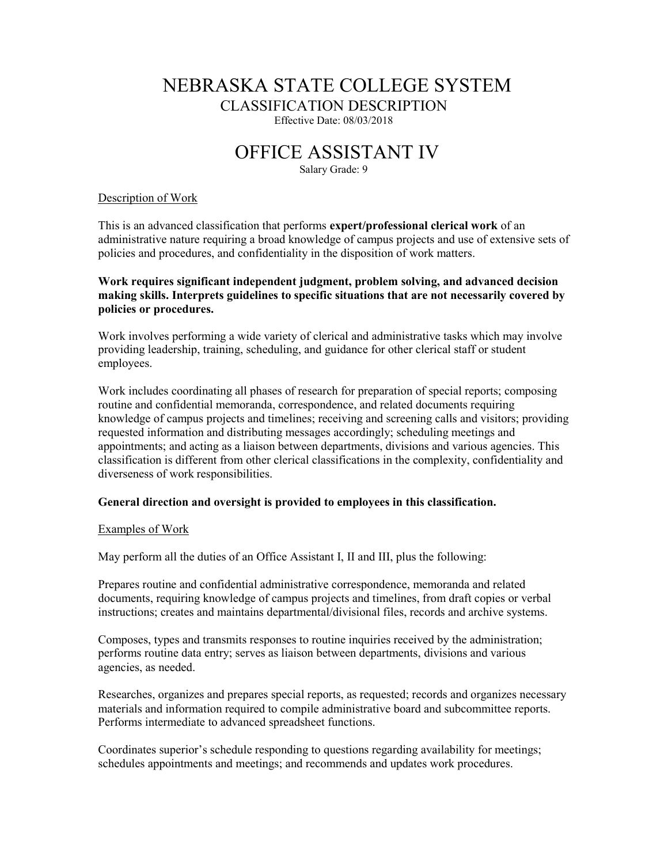NEBRASKA STATE COLLEGE SYSTEM

CLASSIFICATION DESCRIPTION

Effective Date: 08/03/2018

# OFFICE ASSISTANT IV

Salary Grade: 9

#### Description of Work

This is an advanced classification that performs **expert/professional clerical work** of an administrative nature requiring a broad knowledge of campus projects and use of extensive sets of policies and procedures, and confidentiality in the disposition of work matters.

#### **Work requires significant independent judgment, problem solving, and advanced decision making skills. Interprets guidelines to specific situations that are not necessarily covered by policies or procedures.**

Work involves performing a wide variety of clerical and administrative tasks which may involve providing leadership, training, scheduling, and guidance for other clerical staff or student employees.

Work includes coordinating all phases of research for preparation of special reports; composing routine and confidential memoranda, correspondence, and related documents requiring knowledge of campus projects and timelines; receiving and screening calls and visitors; providing requested information and distributing messages accordingly; scheduling meetings and appointments; and acting as a liaison between departments, divisions and various agencies. This classification is different from other clerical classifications in the complexity, confidentiality and diverseness of work responsibilities.

#### **General direction and oversight is provided to employees in this classification.**

#### Examples of Work

May perform all the duties of an Office Assistant I, II and III, plus the following:

Prepares routine and confidential administrative correspondence, memoranda and related documents, requiring knowledge of campus projects and timelines, from draft copies or verbal instructions; creates and maintains departmental/divisional files, records and archive systems.

Composes, types and transmits responses to routine inquiries received by the administration; performs routine data entry; serves as liaison between departments, divisions and various agencies, as needed.

Researches, organizes and prepares special reports, as requested; records and organizes necessary materials and information required to compile administrative board and subcommittee reports. Performs intermediate to advanced spreadsheet functions.

Coordinates superior's schedule responding to questions regarding availability for meetings; schedules appointments and meetings; and recommends and updates work procedures.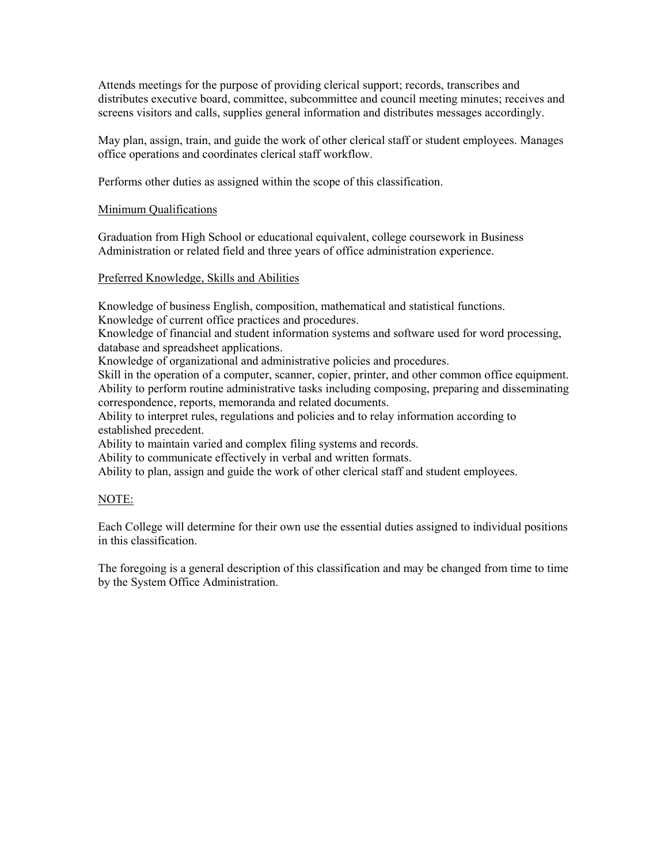Attends meetings for the purpose of providing clerical support; records, transcribes and distributes executive board, committee, subcommittee and council meeting minutes; receives and screens visitors and calls, supplies general information and distributes messages accordingly.

May plan, assign, train, and guide the work of other clerical staff or student employees. Manages office operations and coordinates clerical staff workflow.

Performs other duties as assigned within the scope of this classification.

#### Minimum Qualifications

Graduation from High School or educational equivalent, college coursework in Business Administration or related field and three years of office administration experience.

#### Preferred Knowledge, Skills and Abilities

Knowledge of business English, composition, mathematical and statistical functions.

Knowledge of current office practices and procedures.

Knowledge of financial and student information systems and software used for word processing, database and spreadsheet applications.

Knowledge of organizational and administrative policies and procedures.

Skill in the operation of a computer, scanner, copier, printer, and other common office equipment. Ability to perform routine administrative tasks including composing, preparing and disseminating correspondence, reports, memoranda and related documents.

Ability to interpret rules, regulations and policies and to relay information according to established precedent.

Ability to maintain varied and complex filing systems and records.

Ability to communicate effectively in verbal and written formats.

Ability to plan, assign and guide the work of other clerical staff and student employees.

#### NOTE:

Each College will determine for their own use the essential duties assigned to individual positions in this classification.

The foregoing is a general description of this classification and may be changed from time to time by the System Office Administration.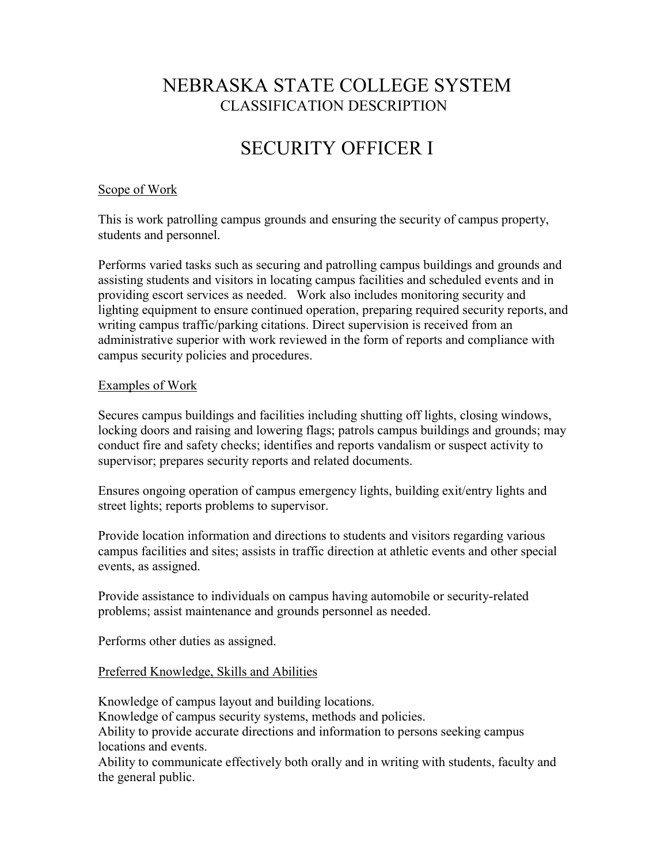# SECURITY OFFICER I

## Scope of Work

This is work patrolling campus grounds and ensuring the security of campus property, students and personnel.

Performs varied tasks such as securing and patrolling campus buildings and grounds and assisting students and visitors in locating campus facilities and scheduled events and in providing escort services as needed. Work also includes monitoring security and lighting equipment to ensure continued operation, preparing required security reports, and writing campus traffic/parking citations. Direct supervision is received from an administrative superior with work reviewed in the form of reports and compliance with campus security policies and procedures.

### Examples of Work

Secures campus buildings and facilities including shutting off lights, closing windows, locking doors and raising and lowering flags; patrols campus buildings and grounds; may conduct fire and safety checks; identifies and reports vandalism or suspect activity to supervisor; prepares security reports and related documents.

Ensures ongoing operation of campus emergency lights, building exit/entry lights and street lights; reports problems to supervisor.

Provide location information and directions to students and visitors regarding various campus facilities and sites; assists in traffic direction at athletic events and other special events, as assigned.

Provide assistance to individuals on campus having automobile or security-related problems; assist maintenance and grounds personnel as needed.

Performs other duties as assigned.

# Preferred Knowledge, Skills and Abilities

Knowledge of campus layout and building locations. Knowledge of campus security systems, methods and policies. Ability to provide accurate directions and information to persons seeking campus locations and events.

Ability to communicate effectively both orally and in writing with students, faculty and the general public.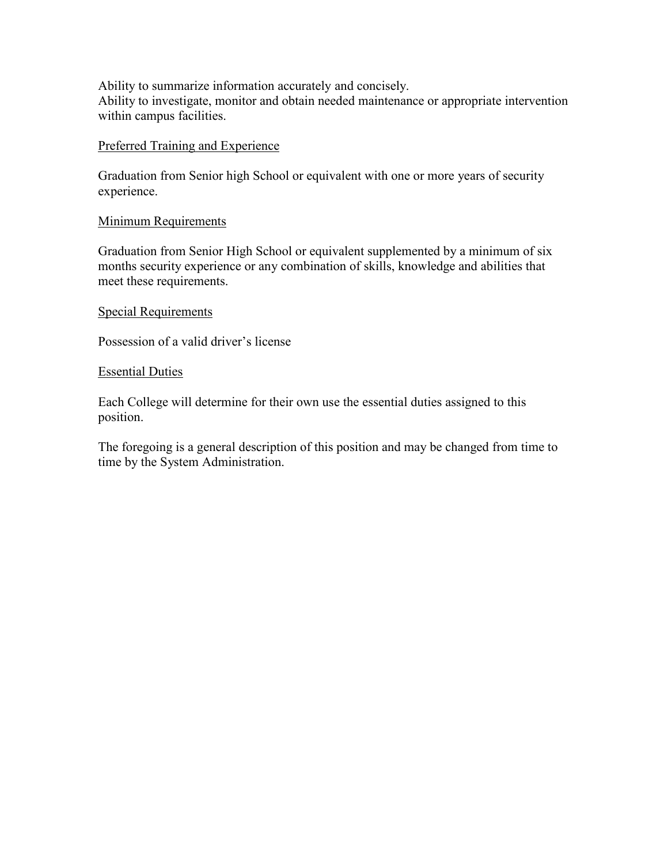Ability to summarize information accurately and concisely. Ability to investigate, monitor and obtain needed maintenance or appropriate intervention within campus facilities.

## Preferred Training and Experience

Graduation from Senior high School or equivalent with one or more years of security experience.

## Minimum Requirements

Graduation from Senior High School or equivalent supplemented by a minimum of six months security experience or any combination of skills, knowledge and abilities that meet these requirements.

## Special Requirements

Possession of a valid driver's license

## Essential Duties

Each College will determine for their own use the essential duties assigned to this position.

The foregoing is a general description of this position and may be changed from time to time by the System Administration.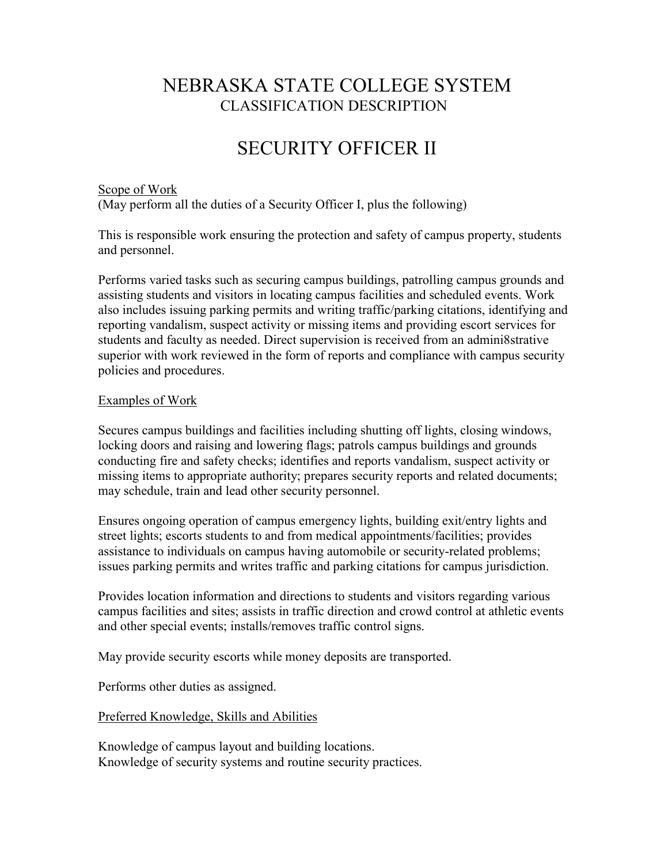# SECURITY OFFICER II

#### Scope of Work

(May perform all the duties of a Security Officer I, plus the following)

This is responsible work ensuring the protection and safety of campus property, students and personnel.

Performs varied tasks such as securing campus buildings, patrolling campus grounds and assisting students and visitors in locating campus facilities and scheduled events. Work also includes issuing parking permits and writing traffic/parking citations, identifying and reporting vandalism, suspect activity or missing items and providing escort services for students and faculty as needed. Direct supervision is received from an admini8strative superior with work reviewed in the form of reports and compliance with campus security policies and procedures.

### Examples of Work

Secures campus buildings and facilities including shutting off lights, closing windows, locking doors and raising and lowering flags; patrols campus buildings and grounds conducting fire and safety checks; identifies and reports vandalism, suspect activity or missing items to appropriate authority; prepares security reports and related documents; may schedule, train and lead other security personnel.

Ensures ongoing operation of campus emergency lights, building exit/entry lights and street lights; escorts students to and from medical appointments/facilities; provides assistance to individuals on campus having automobile or security-related problems; issues parking permits and writes traffic and parking citations for campus jurisdiction.

Provides location information and directions to students and visitors regarding various campus facilities and sites; assists in traffic direction and crowd control at athletic events and other special events; installs/removes traffic control signs.

May provide security escorts while money deposits are transported.

Performs other duties as assigned.

### Preferred Knowledge, Skills and Abilities

Knowledge of campus layout and building locations. Knowledge of security systems and routine security practices.